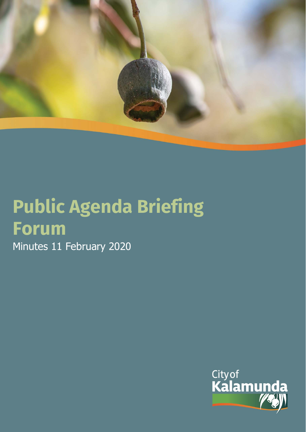

# **Public Agenda Briefing Forum**  Minutes 11 February 2020

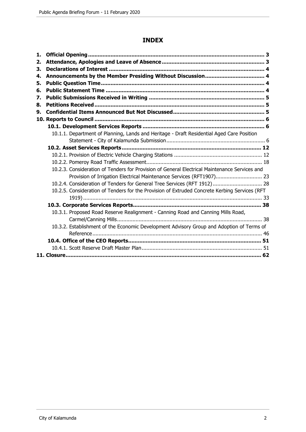# **INDEX**

| 1. |                                                                                               |  |
|----|-----------------------------------------------------------------------------------------------|--|
| 2. |                                                                                               |  |
| 3. |                                                                                               |  |
| 4. |                                                                                               |  |
| 5. |                                                                                               |  |
| 6. |                                                                                               |  |
| 7. |                                                                                               |  |
| 8. |                                                                                               |  |
| 9. |                                                                                               |  |
|    |                                                                                               |  |
|    |                                                                                               |  |
|    | 10.1.1. Department of Planning, Lands and Heritage - Draft Residential Aged Care Position     |  |
|    |                                                                                               |  |
|    |                                                                                               |  |
|    |                                                                                               |  |
|    |                                                                                               |  |
|    | 10.2.3. Consideration of Tenders for Provision of General Electrical Maintenance Services and |  |
|    | Provision of Irrigation Electrical Maintenance Services (RFT1907) 23                          |  |
|    | 10.2.4. Consideration of Tenders for General Tree Services (RFT 1912) 28                      |  |
|    | 10.2.5. Consideration of Tenders for the Provision of Extruded Concrete Kerbing Services (RFT |  |
|    |                                                                                               |  |
|    |                                                                                               |  |
|    | 10.3.1. Proposed Road Reserve Realignment - Canning Road and Canning Mills Road,              |  |
|    |                                                                                               |  |
|    | 10.3.2. Establishment of the Economic Development Advisory Group and Adoption of Terms of     |  |
|    |                                                                                               |  |
|    |                                                                                               |  |
|    |                                                                                               |  |
|    |                                                                                               |  |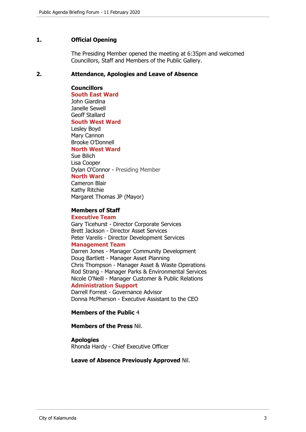## **1. Official Opening**

The Presiding Member opened the meeting at 6:35pm and welcomed Councillors, Staff and Members of the Public Gallery.

#### **2. Attendance, Apologies and Leave of Absence**

**Councillors**

**South East Ward**  John Giardina Janelle Sewell Geoff Stallard

#### **South West Ward**

Lesley Boyd Mary Cannon Brooke O'Donnell **North West Ward**

Sue Bilich Lisa Cooper Dylan O'Connor - Presiding Member

#### **North Ward**

Cameron Blair Kathy Ritchie Margaret Thomas JP (Mayor)

#### **Members of Staff**

#### **Executive Team**

Gary Ticehurst - Director Corporate Services Brett Jackson - Director Asset Services Peter Varelis - Director Development Services

## **Management Team**

Darren Jones - Manager Community Development Doug Bartlett - Manager Asset Planning Chris Thompson - Manager Asset & Waste Operations Rod Strang - Manager Parks & Environmental Services Nicole O'Neill - Manager Customer & Public Relations **Administration Support**

Darrell Forrest - Governance Advisor Donna McPherson - Executive Assistant to the CEO

# **Members of the Public** 4

#### **Members of the Press** Nil.

#### **Apologies**

Rhonda Hardy - Chief Executive Officer

#### **Leave of Absence Previously Approved** Nil.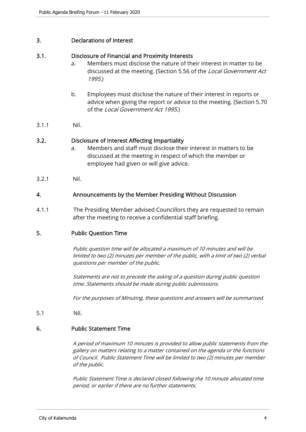## 3. Declarations of Interest

## 3.1. Disclosure of Financial and Proximity Interests

- a. Members must disclose the nature of their interest in matter to be discussed at the meeting. (Section 5.56 of the *Local Government Act* 1995.)
- b. Employees must disclose the nature of their interest in reports or advice when giving the report or advice to the meeting. (Section 5.70 of the Local Government Act 1995.)
- 3.1.1 Nil.

# 3.2. Disclosure of Interest Affecting Impartiality

- a. Members and staff must disclose their interest in matters to be discussed at the meeting in respect of which the member or employee had given or will give advice.
- 3.2.1 Nil.

## 4. Announcements by the Member Presiding Without Discussion

4.1.1 The Presiding Member advised Councillors they are requested to remain after the meeting to receive a confidential staff briefing.

# 5. Public Question Time

Public question time will be allocated a maximum of 10 minutes and will be limited to two (2) minutes per member of the public, with a limit of two (2) verbal questions per member of the public.

Statements are not to precede the asking of a question during public question time. Statements should be made during public submissions.

For the purposes of Minuting, these questions and answers will be summarised.

5.1 Nil.

#### 6. Public Statement Time

A period of maximum 10 minutes is provided to allow public statements from the gallery on matters relating to a matter contained on the agenda or the functions of Council. Public Statement Time will be limited to two (2) minutes per member of the public.

Public Statement Time is declared closed following the 10 minute allocated time period, or earlier if there are no further statements.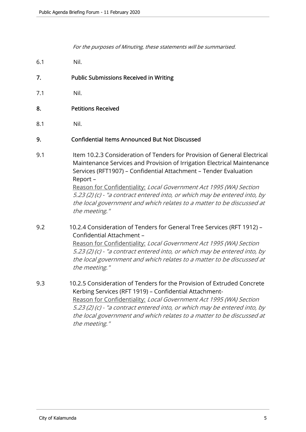For the purposes of Minuting, these statements will be summarised.

- 6.1 Nil.
- 7. Public Submissions Received in Writing
- 7.1 Nil.
- 8. Petitions Received
- 8.1 Nil.

# 9. Confidential Items Announced But Not Discussed

9.1 Item 10.2.3 Consideration of Tenders for Provision of General Electrical Maintenance Services and Provision of Irrigation Electrical Maintenance Services (RFT1907) – Confidential Attachment – Tender Evaluation Report – Reason for Confidentiality: Local Government Act 1995 (WA) Section 5.23 (2) (c) - "a contract entered into, or which may be entered into, by

the local government and which relates to a matter to be discussed at the meeting."

9.2 10.2.4 Consideration of Tenders for General Tree Services (RFT 1912) – Confidential Attachment – Reason for Confidentiality: Local Government Act 1995 (WA) Section

5.23 (2) (c) - "a contract entered into, or which may be entered into, by the local government and which relates to a matter to be discussed at the meeting."

9.3 10.2.5 Consideration of Tenders for the Provision of Extruded Concrete Kerbing Services (RFT 1919) – Confidential Attachment-Reason for Confidentiality: Local Government Act 1995 (WA) Section 5.23 (2) (c) - "a contract entered into, or which may be entered into, by the local government and which relates to a matter to be discussed at the meeting."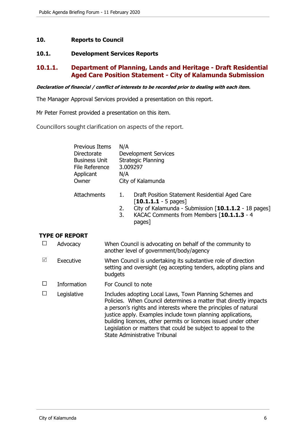## **10. Reports to Council**

## **10.1. Development Services Reports**

# **10.1.1. Department of Planning, Lands and Heritage - Draft Residential Aged Care Position Statement - City of Kalamunda Submission**

**Declaration of financial / conflict of interests to be recorded prior to dealing with each item.** 

The Manager Approval Services provided a presentation on this report.

Mr Peter Forrest provided a presentation on this item.

Councillors sought clarification on aspects of the report.

| Previous Items<br>Directorate<br><b>Business Unit</b><br>File Reference<br>Applicant<br>Owner | N/A<br><b>Development Services</b><br><b>Strategic Planning</b><br>3.009297<br>N/A<br>City of Kalamunda                                                          |
|-----------------------------------------------------------------------------------------------|------------------------------------------------------------------------------------------------------------------------------------------------------------------|
| <b>Attachments</b>                                                                            | Draft Position Statement Residential Aged Care<br>1.<br>$\lceil 10.1.1.1 - 5 \text{ pages} \rceil$<br>City of Kalamunda - Submission [10.1.1.2 - 18 pages]<br>2. |

3. KACAC Comments from Members [**10.1.1.3** - 4 pages]

# **TYPE OF REPORT**

|                 | Advocacy    | When Council is advocating on behalf of the community to<br>another level of government/body/agency                                                                                                                                                                                                                                                                                                                                |
|-----------------|-------------|------------------------------------------------------------------------------------------------------------------------------------------------------------------------------------------------------------------------------------------------------------------------------------------------------------------------------------------------------------------------------------------------------------------------------------|
| $\triangledown$ | Executive   | When Council is undertaking its substantive role of direction<br>setting and oversight (eg accepting tenders, adopting plans and<br>budgets                                                                                                                                                                                                                                                                                        |
| Е               | Information | For Council to note                                                                                                                                                                                                                                                                                                                                                                                                                |
|                 | Legislative | Includes adopting Local Laws, Town Planning Schemes and<br>Policies. When Council determines a matter that directly impacts<br>a person's rights and interests where the principles of natural<br>justice apply. Examples include town planning applications,<br>building licences, other permits or licences issued under other<br>Legislation or matters that could be subject to appeal to the<br>State Administrative Tribunal |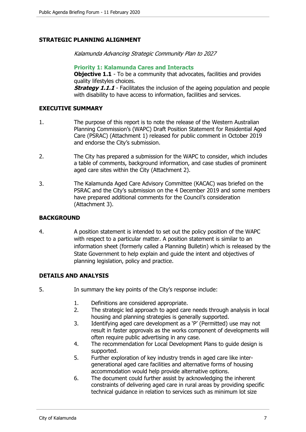# **STRATEGIC PLANNING ALIGNMENT**

Kalamunda Advancing Strategic Community Plan to 2027

**Priority 1: Kalamunda Cares and Interacts Objective 1.1** - To be a community that advocates, facilities and provides quality lifestyles choices.

**Strategy 1.1.1** - Facilitates the inclusion of the ageing population and people with disability to have access to information, facilities and services.

## **EXECUTIVE SUMMARY**

- 1. The purpose of this report is to note the release of the Western Australian Planning Commission's (WAPC) Draft Position Statement for Residential Aged Care (PSRAC) (Attachment 1) released for public comment in October 2019 and endorse the City's submission.
- 2. The City has prepared a submission for the WAPC to consider, which includes a table of comments, background information, and case studies of prominent aged care sites within the City (Attachment 2).
- 3. The Kalamunda Aged Care Advisory Committee (KACAC) was briefed on the PSRAC and the City's submission on the 4 December 2019 and some members have prepared additional comments for the Council's consideration (Attachment 3).

## **BACKGROUND**

4. A position statement is intended to set out the policy position of the WAPC with respect to a particular matter. A position statement is similar to an information sheet (formerly called a Planning Bulletin) which is released by the State Government to help explain and guide the intent and objectives of planning legislation, policy and practice.

# **DETAILS AND ANALYSIS**

- 5. In summary the key points of the City's response include:
	- 1. Definitions are considered appropriate.
	- 2. The strategic led approach to aged care needs through analysis in local housing and planning strategies is generally supported.
	- 3. Identifying aged care development as a 'P' (Permitted) use may not result in faster approvals as the works component of developments will often require public advertising in any case.
	- 4. The recommendation for Local Development Plans to guide design is supported.
	- 5. Further exploration of key industry trends in aged care like intergenerational aged care facilities and alternative forms of housing accommodation would help provide alternative options.
	- 6. The document could further assist by acknowledging the inherent constraints of delivering aged care in rural areas by providing specific technical guidance in relation to services such as minimum lot size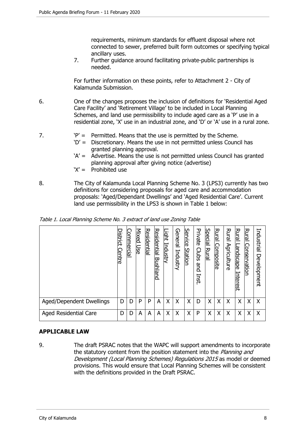requirements, minimum standards for effluent disposal where not connected to sewer, preferred built form outcomes or specifying typical ancillary uses.

7. Further guidance around facilitating private-public partnerships is needed.

For further information on these points, refer to Attachment 2 - City of Kalamunda Submission.

- 6. One of the changes proposes the inclusion of definitions for 'Residential Aged Care Facility' and 'Retirement Village' to be included in Local Planning Schemes, and land use permissibility to include aged care as a 'P' use in a residential zone, 'X' use in an industrial zone, and 'D' or 'A' use in a rural zone.
- 7.  $P' =$  Permitted. Means that the use is permitted by the Scheme.
	- 'D' = Discretionary. Means the use in not permitted unless Council has granted planning approval.
	- 'A' = Advertise. Means the use is not permitted unless Council has granted planning approval after giving notice (advertise)
	- 'X' = Prohibited use
- 8. The City of Kalamunda Local Planning Scheme No. 3 (LPS3) currently has two definitions for considering proposals for aged care and accommodation proposals: 'Aged/Dependant Dwellings' and 'Aged Residential Care'. Current land use permissibility in the LPS3 is shown in Table 1 below:

|                              | <u>Jistrict</u><br>Centre | Jommercial | <b>Mixed</b><br>Use | <u>Residential</u> | <u>Residential</u><br>Bushl<br>land | <u>Light</u><br>Industry | General<br>Industry | Service<br>Station | Private<br>Clubs<br>and<br>Inst | <b>Special</b><br><u>Rural</u> | <b>Rural</b><br><u>Composite</u> | Rural<br>Agriculture | Rural<br>augcape<br>Interest | Rural<br>Conservatior | Industrial<br>Development |
|------------------------------|---------------------------|------------|---------------------|--------------------|-------------------------------------|--------------------------|---------------------|--------------------|---------------------------------|--------------------------------|----------------------------------|----------------------|------------------------------|-----------------------|---------------------------|
| Aged/Dependent Dwellings     | D                         | D          | P                   | P                  | Α                                   | X                        | X                   | X                  | D                               | Χ                              | X                                | X                    | X                            | Χ                     | $\times$                  |
| <b>Aged Residential Care</b> | D                         | D          | A                   | A                  | A                                   | Χ                        | X                   | Χ                  | P                               | X                              | X                                | Χ                    | X                            | X                     | X                         |

Table 1. Local Planning Scheme No. 3 extract of land use Zoning Table

#### **APPLICABLE LAW**

9. The draft PSRAC notes that the WAPC will support amendments to incorporate the statutory content from the position statement into the *Planning and* Development (Local Planning Schemes) Regulations 2015 as model or deemed provisions. This would ensure that Local Planning Schemes will be consistent with the definitions provided in the Draft PSRAC.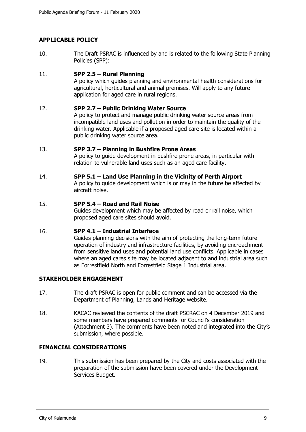# **APPLICABLE POLICY**

10. The Draft PSRAC is influenced by and is related to the following State Planning Policies (SPP):

## 11. **SPP 2.5 – Rural Planning**

A policy which guides planning and environmental health considerations for agricultural, horticultural and animal premises. Will apply to any future application for aged care in rural regions.

## 12. **SPP 2.7 – Public Drinking Water Source**

A policy to protect and manage public drinking water source areas from incompatible land uses and pollution in order to maintain the quality of the drinking water. Applicable if a proposed aged care site is located within a public drinking water source area.

#### 13. **SPP 3.7 – Planning in Bushfire Prone Areas**

A policy to guide development in bushfire prone areas, in particular with relation to vulnerable land uses such as an aged care facility.

## 14. **SPP 5.1 – Land Use Planning in the Vicinity of Perth Airport**

A policy to guide development which is or may in the future be affected by aircraft noise.

#### 15. **SPP 5.4 – Road and Rail Noise**

Guides development which may be affected by road or rail noise, which proposed aged care sites should avoid.

#### 16. **SPP 4.1 – Industrial Interface**

Guides planning decisions with the aim of protecting the long-term future operation of industry and infrastructure facilities, by avoiding encroachment from sensitive land uses and potential land use conflicts. Applicable in cases where an aged cares site may be located adjacent to and industrial area such as Forrestfield North and Forrestfield Stage 1 Industrial area.

# **STAKEHOLDER ENGAGEMENT**

- 17. The draft PSRAC is open for public comment and can be accessed via the Department of Planning, Lands and Heritage website.
- 18. KACAC reviewed the contents of the draft PSCRAC on 4 December 2019 and some members have prepared comments for Council's consideration (Attachment 3). The comments have been noted and integrated into the City's submission, where possible.

# **FINANCIAL CONSIDERATIONS**

19. This submission has been prepared by the City and costs associated with the preparation of the submission have been covered under the Development Services Budget.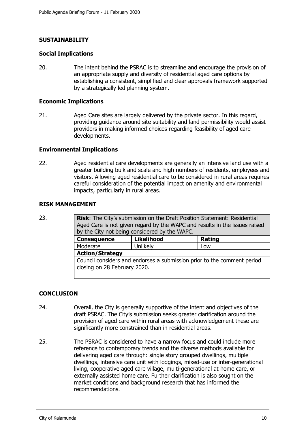# **SUSTAINABILITY**

#### **Social Implications**

20. The intent behind the PSRAC is to streamline and encourage the provision of an appropriate supply and diversity of residential aged care options by establishing a consistent, simplified and clear approvals framework supported by a strategically led planning system.

#### **Economic Implications**

21. Aged Care sites are largely delivered by the private sector. In this regard, providing guidance around site suitability and land permissibility would assist providers in making informed choices regarding feasibility of aged care developments.

#### **Environmental Implications**

22. Aged residential care developments are generally an intensive land use with a greater building bulk and scale and high numbers of residents, employees and visitors. Allowing aged residential care to be considered in rural areas requires careful consideration of the potential impact on amenity and environmental impacts, particularly in rural areas.

#### **RISK MANAGEMENT**

23. **Risk**: The City's submission on the Draft Position Statement: Residential Aged Care is not given regard by the WAPC and results in the issues raised by the City not being considered by the WAPC.

| <b>Consequence</b>                                                                                      | <b>Likelihood</b> | <b>Rating</b> |  |  |  |
|---------------------------------------------------------------------------------------------------------|-------------------|---------------|--|--|--|
| Moderate                                                                                                | Unlikely          | Low           |  |  |  |
| <b>Action/Strategy</b>                                                                                  |                   |               |  |  |  |
| Council considers and endorses a submission prior to the comment period<br>closing on 28 February 2020. |                   |               |  |  |  |

#### **CONCLUSION**

- 24. Overall, the City is generally supportive of the intent and objectives of the draft PSRAC. The City's submission seeks greater clarification around the provision of aged care within rural areas with acknowledgement these are significantly more constrained than in residential areas.
- 25. The PSRAC is considered to have a narrow focus and could include more reference to contemporary trends and the diverse methods available for delivering aged care through: single story grouped dwellings, multiple dwellings, intensive care unit with lodgings, mixed-use or inter-generational living, cooperative aged care village, multi-generational at home care, or externally assisted home care. Further clarification is also sought on the market conditions and background research that has informed the recommendations.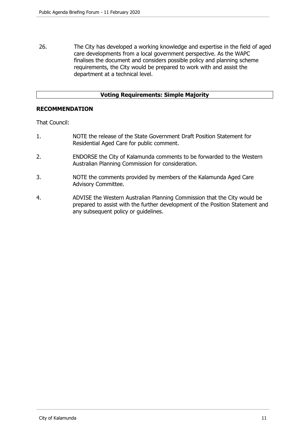26. The City has developed a working knowledge and expertise in the field of aged care developments from a local government perspective. As the WAPC finalises the document and considers possible policy and planning scheme requirements, the City would be prepared to work with and assist the department at a technical level.

# **Voting Requirements: Simple Majority**

## **RECOMMENDATION**

That Council:

- 1. NOTE the release of the State Government Draft Position Statement for Residential Aged Care for public comment.
- 2. ENDORSE the City of Kalamunda comments to be forwarded to the Western Australian Planning Commission for consideration.
- 3. NOTE the comments provided by members of the Kalamunda Aged Care Advisory Committee.
- 4. ADVISE the Western Australian Planning Commission that the City would be prepared to assist with the further development of the Position Statement and any subsequent policy or guidelines.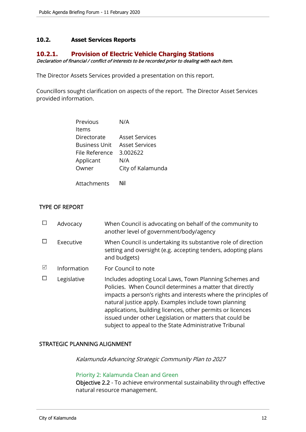# **10.2. Asset Services Reports**

# **10.2.1. Provision of Electric Vehicle Charging Stations**

Declaration of financial / conflict of interests to be recorded prior to dealing with each item.

The Director Assets Services provided a presentation on this report.

Councillors sought clarification on aspects of the report. The Director Asset Services provided information.

| Previous                            | N/A               |
|-------------------------------------|-------------------|
| ltems                               |                   |
| Directorate                         | Asset Services    |
| <b>Business Unit Asset Services</b> |                   |
| File Reference 3.002622             |                   |
| Applicant                           | N/A               |
| Owner                               | City of Kalamunda |
|                                     |                   |

Attachments Nil

# TYPE OF REPORT

|                 | Advocacy    | When Council is advocating on behalf of the community to<br>another level of government/body/agency                                                                                                                                                                                                                                                                                                                                |
|-----------------|-------------|------------------------------------------------------------------------------------------------------------------------------------------------------------------------------------------------------------------------------------------------------------------------------------------------------------------------------------------------------------------------------------------------------------------------------------|
|                 | Executive   | When Council is undertaking its substantive role of direction<br>setting and oversight (e.g. accepting tenders, adopting plans<br>and budgets)                                                                                                                                                                                                                                                                                     |
| $\triangledown$ | Information | For Council to note                                                                                                                                                                                                                                                                                                                                                                                                                |
|                 | Legislative | Includes adopting Local Laws, Town Planning Schemes and<br>Policies. When Council determines a matter that directly<br>impacts a person's rights and interests where the principles of<br>natural justice apply. Examples include town planning<br>applications, building licences, other permits or licences<br>issued under other Legislation or matters that could be<br>subject to appeal to the State Administrative Tribunal |

# STRATEGIC PLANNING ALIGNMENT

Kalamunda Advancing Strategic Community Plan to 2027

#### Priority 2: Kalamunda Clean and Green

Objective 2.2 - To achieve environmental sustainability through effective natural resource management.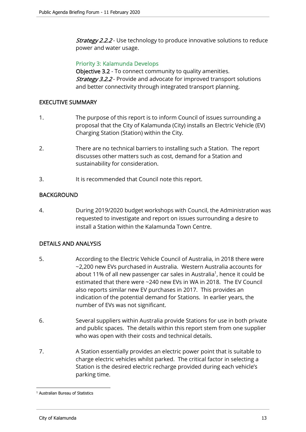**Strategy 2.2.2** - Use technology to produce innovative solutions to reduce power and water usage.

## Priority 3: Kalamunda Develops

Objective 3.2 - To connect community to quality amenities. **Strategy 3.2.2** - Provide and advocate for improved transport solutions and better connectivity through integrated transport planning.

## EXECUTIVE SUMMARY

- 1. The purpose of this report is to inform Council of issues surrounding a proposal that the City of Kalamunda (City) installs an Electric Vehicle (EV) Charging Station (Station) within the City.
- 2. There are no technical barriers to installing such a Station. The report discusses other matters such as cost, demand for a Station and sustainability for consideration.
- 3. It is recommended that Council note this report.

# BACKGROUND

4. During 2019/2020 budget workshops with Council, the Administration was requested to investigate and report on issues surrounding a desire to install a Station within the Kalamunda Town Centre.

# DETAILS AND ANALYSIS

- 5. According to the Electric Vehicle Council of Australia, in 2018 there were ~2,200 new EVs purchased in Australia. Western Australia accounts for about 11% of all new passenger car sales in Australia<sup>1</sup>, hence it could be estimated that there were ~240 new EVs in WA in 2018. The EV Council also reports similar new EV purchases in 2017. This provides an indication of the potential demand for Stations. In earlier years, the number of EVs was not significant.
- 6. Several suppliers within Australia provide Stations for use in both private and public spaces. The details within this report stem from one supplier who was open with their costs and technical details.
- 7. A Station essentially provides an electric power point that is suitable to charge electric vehicles whilst parked. The critical factor in selecting a Station is the desired electric recharge provided during each vehicle's parking time.

<sup>1</sup> Australian Bureau of Statistics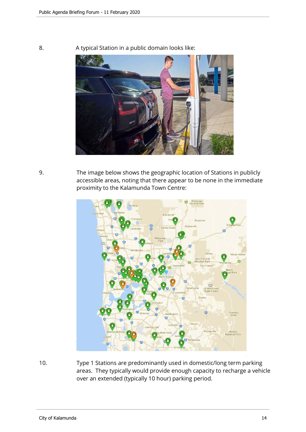

8. A typical Station in a public domain looks like:

9. The image below shows the geographic location of Stations in publicly accessible areas, noting that there appear to be none in the immediate proximity to the Kalamunda Town Centre:



10. Type 1 Stations are predominantly used in domestic/long term parking areas. They typically would provide enough capacity to recharge a vehicle over an extended (typically 10 hour) parking period.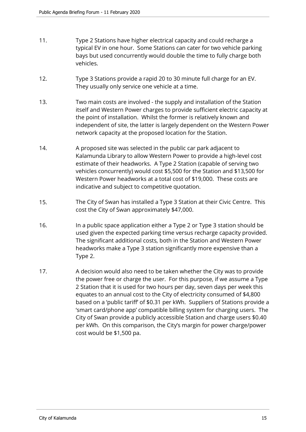- 11. Type 2 Stations have higher electrical capacity and could recharge a typical EV in one hour. Some Stations can cater for two vehicle parking bays but used concurrently would double the time to fully charge both vehicles.
- 12. Type 3 Stations provide a rapid 20 to 30 minute full charge for an EV. They usually only service one vehicle at a time.
- 13. Two main costs are involved the supply and installation of the Station itself and Western Power charges to provide sufficient electric capacity at the point of installation. Whilst the former is relatively known and independent of site, the latter is largely dependent on the Western Power network capacity at the proposed location for the Station.
- 14. A proposed site was selected in the public car park adjacent to Kalamunda Library to allow Western Power to provide a high-level cost estimate of their headworks. A Type 2 Station (capable of serving two vehicles concurrently) would cost \$5,500 for the Station and \$13,500 for Western Power headworks at a total cost of \$19,000. These costs are indicative and subject to competitive quotation.
- 15. The City of Swan has installed a Type 3 Station at their Civic Centre. This cost the City of Swan approximately \$47,000.
- 16. In a public space application either a Type 2 or Type 3 station should be used given the expected parking time versus recharge capacity provided. The significant additional costs, both in the Station and Western Power headworks make a Type 3 station significantly more expensive than a Type 2.
- 17. A decision would also need to be taken whether the City was to provide the power free or charge the user. For this purpose, if we assume a Type 2 Station that it is used for two hours per day, seven days per week this equates to an annual cost to the City of electricity consumed of \$4,800 based on a 'public tariff' of \$0.31 per kWh. Suppliers of Stations provide a 'smart card/phone app' compatible billing system for charging users. The City of Swan provide a publicly accessible Station and charge users \$0.40 per kWh. On this comparison, the City's margin for power charge/power cost would be \$1,500 pa.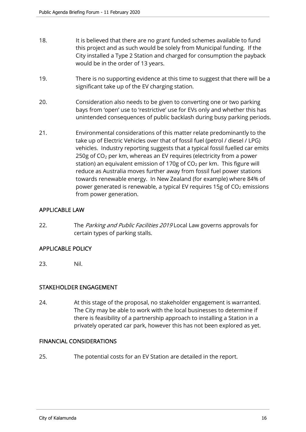- 18. It is believed that there are no grant funded schemes available to fund this project and as such would be solely from Municipal funding. If the City installed a Type 2 Station and charged for consumption the payback would be in the order of 13 years.
- 19. There is no supporting evidence at this time to suggest that there will be a significant take up of the EV charging station.
- 20. Consideration also needs to be given to converting one or two parking bays from 'open' use to 'restrictive' use for EVs only and whether this has unintended consequences of public backlash during busy parking periods.
- 21. Environmental considerations of this matter relate predominantly to the take up of Electric Vehicles over that of fossil fuel (petrol / diesel / LPG) vehicles. Industry reporting suggests that a typical fossil fuelled car emits 250g of  $CO<sub>2</sub>$  per km, whereas an EV requires (electricity from a power station) an equivalent emission of 170g of  $CO<sub>2</sub>$  per km. This figure will reduce as Australia moves further away from fossil fuel power stations towards renewable energy. In New Zealand (for example) where 84% of power generated is renewable, a typical EV requires 15g of  $CO<sub>2</sub>$  emissions from power generation.

# APPLICABLE LAW

22. The Parking and Public Facilities 2019 Local Law governs approvals for certain types of parking stalls.

# APPLICABLE POLICY

23. Nil.

# STAKEHOLDER ENGAGEMENT

24. At this stage of the proposal, no stakeholder engagement is warranted. The City may be able to work with the local businesses to determine if there is feasibility of a partnership approach to installing a Station in a privately operated car park, however this has not been explored as yet.

# FINANCIAL CONSIDERATIONS

25. The potential costs for an EV Station are detailed in the report.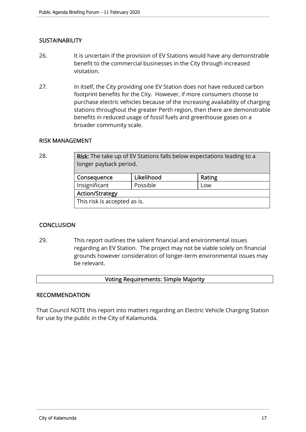# **SUSTAINABILITY**

- 26. It is uncertain if the provision of EV Stations would have any demonstrable benefit to the commercial businesses in the City through increased visitation.
- 27. In itself, the City providing one EV Station does not have reduced carbon footprint benefits for the City. However, if more consumers choose to purchase electric vehicles because of the increasing availability of charging stations throughout the greater Perth region, then there are demonstrable benefits in reduced usage of fossil fuels and greenhouse gases on a broader community scale.

## RISK MANAGEMENT

28. **Risk:** The take up of EV Stations falls below expectations leading to a longer payback period.

| Consequence                  | Likelihood | Rating |  |  |  |  |
|------------------------------|------------|--------|--|--|--|--|
| Insignificant                | Possible   | Low    |  |  |  |  |
| <b>Action/Strategy</b>       |            |        |  |  |  |  |
| This risk is accepted as is. |            |        |  |  |  |  |

# **CONCLUSION**

29. This report outlines the salient financial and environmental issues regarding an EV Station. The project may not be viable solely on financial grounds however consideration of longer-term environmental issues may be relevant.

#### Voting Requirements: Simple Majority

#### RECOMMENDATION

That Council NOTE this report into matters regarding an Electric Vehicle Charging Station for use by the public in the City of Kalamunda.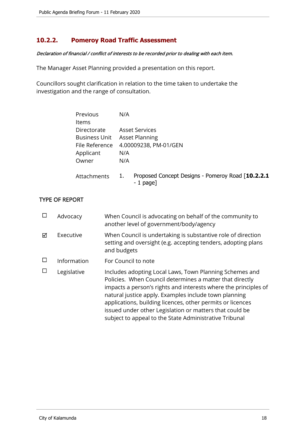# **10.2.2. Pomeroy Road Traffic Assessment**

#### Declaration of financial / conflict of interests to be recorded prior to dealing with each item.

The Manager Asset Planning provided a presentation on this report.

Councillors sought clarification in relation to the time taken to undertake the investigation and the range of consultation.

| Previous             | N/A                                                                    |
|----------------------|------------------------------------------------------------------------|
| <b>Items</b>         |                                                                        |
| Directorate          | <b>Asset Services</b>                                                  |
| <b>Business Unit</b> | <b>Asset Planning</b>                                                  |
| File Reference       | 4.00009238, PM-01/GEN                                                  |
| Applicant            | N/A                                                                    |
| Owner                | N/A                                                                    |
|                      |                                                                        |
| Attachments          | Proposed Concept Designs - Pomeroy Road [10.2.2.1]<br>1.<br>$-1$ page] |
|                      |                                                                        |

# TYPE OF REPORT

|   | Advocacy    | When Council is advocating on behalf of the community to<br>another level of government/body/agency                                                                                                                                                                                                                                                                                                                                |
|---|-------------|------------------------------------------------------------------------------------------------------------------------------------------------------------------------------------------------------------------------------------------------------------------------------------------------------------------------------------------------------------------------------------------------------------------------------------|
| ⊠ | Executive   | When Council is undertaking is substantive role of direction<br>setting and oversight (e.g. accepting tenders, adopting plans<br>and budgets                                                                                                                                                                                                                                                                                       |
|   | Information | For Council to note                                                                                                                                                                                                                                                                                                                                                                                                                |
|   | Legislative | Includes adopting Local Laws, Town Planning Schemes and<br>Policies. When Council determines a matter that directly<br>impacts a person's rights and interests where the principles of<br>natural justice apply. Examples include town planning<br>applications, building licences, other permits or licences<br>issued under other Legislation or matters that could be<br>subject to appeal to the State Administrative Tribunal |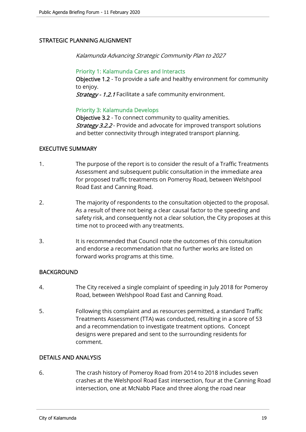# STRATEGIC PLANNING ALIGNMENT

Kalamunda Advancing Strategic Community Plan to 2027

## Priority 1: Kalamunda Cares and Interacts

Objective 1.2 - To provide a safe and healthy environment for community to enjoy.

Strategy - 1.2.1 Facilitate a safe community environment.

# Priority 3: Kalamunda Develops

Objective 3.2 - To connect community to quality amenities. **Strategy 3.2.2** - Provide and advocate for improved transport solutions and better connectivity through integrated transport planning.

## EXECUTIVE SUMMARY

- 1. The purpose of the report is to consider the result of a Traffic Treatments Assessment and subsequent public consultation in the immediate area for proposed traffic treatments on Pomeroy Road, between Welshpool Road East and Canning Road.
- 2. The majority of respondents to the consultation objected to the proposal. As a result of there not being a clear causal factor to the speeding and safety risk, and consequently not a clear solution, the City proposes at this time not to proceed with any treatments.
- 3. It is recommended that Council note the outcomes of this consultation and endorse a recommendation that no further works are listed on forward works programs at this time.

# BACKGROUND

- 4. The City received a single complaint of speeding in July 2018 for Pomeroy Road, between Welshpool Road East and Canning Road.
- 5. Following this complaint and as resources permitted, a standard Traffic Treatments Assessment (TTA) was conducted, resulting in a score of 53 and a recommendation to investigate treatment options. Concept designs were prepared and sent to the surrounding residents for comment.

# DETAILS AND ANALYSIS

6. The crash history of Pomeroy Road from 2014 to 2018 includes seven crashes at the Welshpool Road East intersection, four at the Canning Road intersection, one at McNabb Place and three along the road near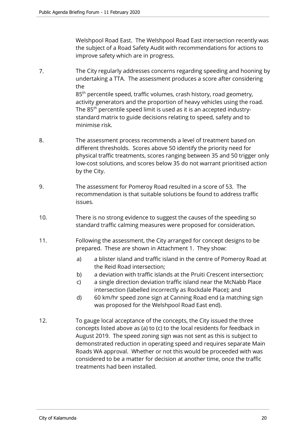Welshpool Road East. The Welshpool Road East intersection recently was the subject of a Road Safety Audit with recommendations for actions to improve safety which are in progress.

- 7. The City regularly addresses concerns regarding speeding and hooning by undertaking a TTA. The assessment produces a score after considering the 85<sup>th</sup> percentile speed, traffic volumes, crash history, road geometry, activity generators and the proportion of heavy vehicles using the road. The 85<sup>th</sup> percentile speed limit is used as it is an accepted industrystandard matrix to guide decisions relating to speed, safety and to minimise risk.
- 8. The assessment process recommends a level of treatment based on different thresholds. Scores above 50 identify the priority need for physical traffic treatments, scores ranging between 35 and 50 trigger only low-cost solutions, and scores below 35 do not warrant prioritised action by the City.
- 9. The assessment for Pomeroy Road resulted in a score of 53. The recommendation is that suitable solutions be found to address traffic issues.
- 10. There is no strong evidence to suggest the causes of the speeding so standard traffic calming measures were proposed for consideration.
- 11. Following the assessment, the City arranged for concept designs to be prepared. These are shown in Attachment 1. They show:
	- a) a blister island and traffic island in the centre of Pomeroy Road at the Reid Road intersection;
	- b) a deviation with traffic islands at the Pruiti Crescent intersection;
	- c) a single direction deviation traffic island near the McNabb Place intersection (labelled incorrectly as Rockdale Place); and
	- d) 60 km/hr speed zone sign at Canning Road end (a matching sign was proposed for the Welshpool Road East end).
- 12. To gauge local acceptance of the concepts, the City issued the three concepts listed above as (a) to (c) to the local residents for feedback in August 2019. The speed zoning sign was not sent as this is subject to demonstrated reduction in operating speed and requires separate Main Roads WA approval. Whether or not this would be proceeded with was considered to be a matter for decision at another time, once the traffic treatments had been installed.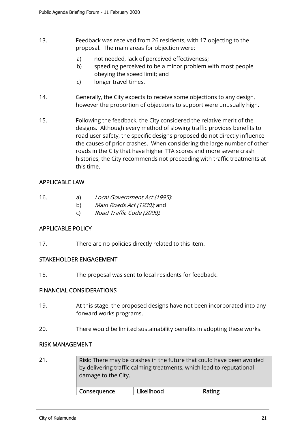- 13. Feedback was received from 26 residents, with 17 objecting to the proposal. The main areas for objection were:
	- a) not needed, lack of perceived effectiveness;
	- b) speeding perceived to be a minor problem with most people obeying the speed limit; and
	- c) longer travel times.
- 14. Generally, the City expects to receive some objections to any design, however the proportion of objections to support were unusually high.
- 15. Following the feedback, the City considered the relative merit of the designs. Although every method of slowing traffic provides benefits to road user safety, the specific designs proposed do not directly influence the causes of prior crashes. When considering the large number of other roads in the City that have higher TTA scores and more severe crash histories, the City recommends not proceeding with traffic treatments at this time.

# APPLICABLE LAW

- 16. a) Local Government Act (1995);
	- b) Main Roads Act (1930); and
	- c) Road Traffic Code (2000).

# APPLICABLE POLICY

17. There are no policies directly related to this item.

# STAKEHOLDER ENGAGEMENT

18. The proposal was sent to local residents for feedback.

# FINANCIAL CONSIDERATIONS

- 19. At this stage, the proposed designs have not been incorporated into any forward works programs.
- 20. There would be limited sustainability benefits in adopting these works.

#### RISK MANAGEMENT

21. Risk: There may be crashes in the future that could have been avoided by delivering traffic calming treatments, which lead to reputational damage to the City. Consequence Likelihood Rating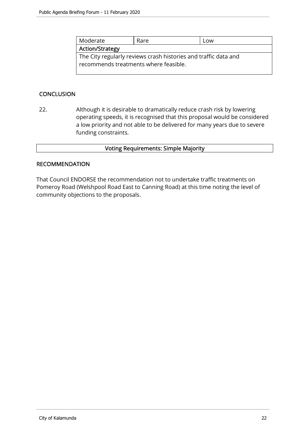| Moderate                                                        | Low |  |  |  |  |  |
|-----------------------------------------------------------------|-----|--|--|--|--|--|
| Action/Strategy                                                 |     |  |  |  |  |  |
| The City regularly reviews crash histories and traffic data and |     |  |  |  |  |  |
| recommends treatments where feasible.                           |     |  |  |  |  |  |
|                                                                 |     |  |  |  |  |  |

# **CONCLUSION**

22. Although it is desirable to dramatically reduce crash risk by lowering operating speeds, it is recognised that this proposal would be considered a low priority and not able to be delivered for many years due to severe funding constraints.

# Voting Requirements: Simple Majority

## **RECOMMENDATION**

That Council ENDORSE the recommendation not to undertake traffic treatments on Pomeroy Road (Welshpool Road East to Canning Road) at this time noting the level of community objections to the proposals.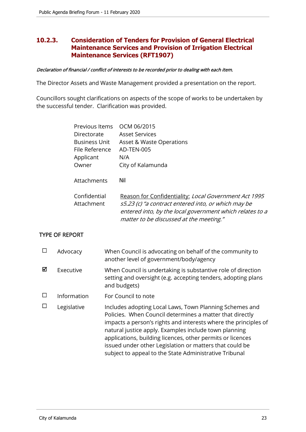# **10.2.3. Consideration of Tenders for Provision of General Electrical Maintenance Services and Provision of Irrigation Electrical Maintenance Services (RFT1907)**

#### Declaration of financial / conflict of interests to be recorded prior to dealing with each item.

The Director Assets and Waste Management provided a presentation on the report.

Councillors sought clarifications on aspects of the scope of works to be undertaken by the successful tender. Clarification was provided.

| Previous Items       | OCM 06/2015                                              |
|----------------------|----------------------------------------------------------|
| Directorate          | <b>Asset Services</b>                                    |
| <b>Business Unit</b> | Asset & Waste Operations                                 |
| File Reference       | AD-TEN-005                                               |
| Applicant            | N/A                                                      |
| Owner                | City of Kalamunda                                        |
|                      |                                                          |
| Attachments          | Nil                                                      |
|                      |                                                          |
| Confidential         | Reason for Confidentiality: Local Government Act 1995    |
| Attachment           | s5.23 (c) "a contract entered into, or which may be      |
|                      | entered into, by the local government which relates to a |
|                      | matter to be discussed at the meeting."                  |

# TYPE OF REPORT

|   | Advocacy    | When Council is advocating on behalf of the community to<br>another level of government/body/agency                                                                                                                                                                                                                                                                                                                                |
|---|-------------|------------------------------------------------------------------------------------------------------------------------------------------------------------------------------------------------------------------------------------------------------------------------------------------------------------------------------------------------------------------------------------------------------------------------------------|
| М | Executive   | When Council is undertaking is substantive role of direction<br>setting and oversight (e.g. accepting tenders, adopting plans<br>and budgets)                                                                                                                                                                                                                                                                                      |
|   | Information | For Council to note                                                                                                                                                                                                                                                                                                                                                                                                                |
|   | Legislative | Includes adopting Local Laws, Town Planning Schemes and<br>Policies. When Council determines a matter that directly<br>impacts a person's rights and interests where the principles of<br>natural justice apply. Examples include town planning<br>applications, building licences, other permits or licences<br>issued under other Legislation or matters that could be<br>subject to appeal to the State Administrative Tribunal |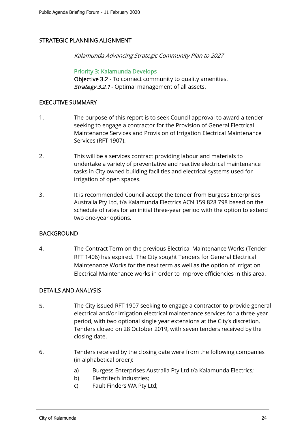# STRATEGIC PLANNING ALIGNMENT

Kalamunda Advancing Strategic Community Plan to 2027

Priority 3: Kalamunda Develops Objective 3.2 - To connect community to quality amenities. Strategy 3.2.1 - Optimal management of all assets.

## EXECUTIVE SUMMARY

- 1. The purpose of this report is to seek Council approval to award a tender seeking to engage a contractor for the Provision of General Electrical Maintenance Services and Provision of Irrigation Electrical Maintenance Services (RFT 1907).
- 2. This will be a services contract providing labour and materials to undertake a variety of preventative and reactive electrical maintenance tasks in City owned building facilities and electrical systems used for irrigation of open spaces.
- 3. It is recommended Council accept the tender from Burgess Enterprises Australia Pty Ltd, t/a Kalamunda Electrics ACN 159 828 798 based on the schedule of rates for an initial three-year period with the option to extend two one-year options.

# **BACKGROUND**

4. The Contract Term on the previous Electrical Maintenance Works (Tender RFT 1406) has expired. The City sought Tenders for General Electrical Maintenance Works for the next term as well as the option of Irrigation Electrical Maintenance works in order to improve efficiencies in this area.

# DETAILS AND ANALYSIS

- 5. The City issued RFT 1907 seeking to engage a contractor to provide general electrical and/or irrigation electrical maintenance services for a three-year period, with two optional single year extensions at the City's discretion. Tenders closed on 28 October 2019, with seven tenders received by the closing date.
- 6. Tenders received by the closing date were from the following companies (in alphabetical order):
	- a) Burgess Enterprises Australia Pty Ltd t/a Kalamunda Electrics;
	- b) Electritech Industries;
	- c) Fault Finders WA Pty Ltd;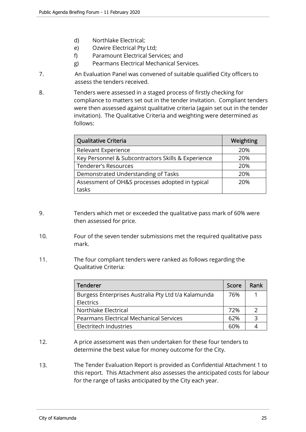- d) Northlake Electrical;
- e) Ozwire Electrical Pty Ltd;
- f) Paramount Electrical Services; and
- g) Pearmans Electrical Mechanical Services.
- 7. An Evaluation Panel was convened of suitable qualified City officers to assess the tenders received.
- 8. Tenders were assessed in a staged process of firstly checking for compliance to matters set out in the tender invitation. Compliant tenders were then assessed against qualitative criteria (again set out in the tender invitation). The Qualitative Criteria and weighting were determined as follows:

| <b>Qualitative Criteria</b>                        | Weighting |
|----------------------------------------------------|-----------|
| Relevant Experience                                | 20%       |
| Key Personnel & Subcontractors Skills & Experience | 20%       |
| <b>Tenderer's Resources</b>                        | 20%       |
| Demonstrated Understanding of Tasks                | 20%       |
| Assessment of OH&S processes adopted in typical    | 20%       |
| tasks                                              |           |

- 9. Tenders which met or exceeded the qualitative pass mark of 60% were then assessed for price.
- 10. Four of the seven tender submissions met the required qualitative pass mark.
- 11. The four compliant tenders were ranked as follows regarding the Qualitative Criteria:

| Tenderer                                            | Score | Rank          |
|-----------------------------------------------------|-------|---------------|
| Burgess Enterprises Australia Pty Ltd t/a Kalamunda | 76%   |               |
| Electrics                                           |       |               |
| Northlake Electrical                                | 72%   | $\mathcal{L}$ |
| <b>Pearmans Electrical Mechanical Services</b>      | 62%   | κ             |
| Electritech Industries                              |       |               |

- 12. A price assessment was then undertaken for these four tenders to determine the best value for money outcome for the City.
- 13. The Tender Evaluation Report is provided as Confidential Attachment 1 to this report. This Attachment also assesses the anticipated costs for labour for the range of tasks anticipated by the City each year.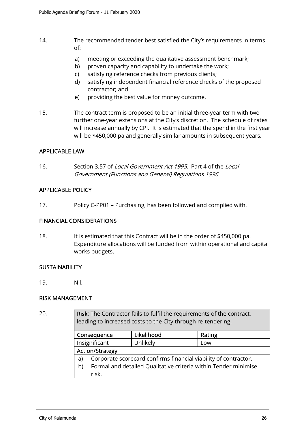- 14. The recommended tender best satisfied the City's requirements in terms of:
	- a) meeting or exceeding the qualitative assessment benchmark;
	- b) proven capacity and capability to undertake the work;
	- c) satisfying reference checks from previous clients;
	- d) satisfying independent financial reference checks of the proposed contractor; and
	- e) providing the best value for money outcome.
- 15. The contract term is proposed to be an initial three-year term with two further one-year extensions at the City's discretion. The schedule of rates will increase annually by CPI. It is estimated that the spend in the first year will be \$450,000 pa and generally similar amounts in subsequent years.

# APPLICABLE LAW

16. Section 3.57 of *Local Government Act 1995*. Part 4 of the *Local* Government (Functions and General) Regulations 1996.

# APPLICABLE POLICY

17. Policy C-PP01 – Purchasing, has been followed and complied with.

#### FINANCIAL CONSIDERATIONS

18. It is estimated that this Contract will be in the order of \$450,000 pa. Expenditure allocations will be funded from within operational and capital works budgets.

#### **SUSTAINABILITY**

19. Nil.

# RISK MANAGEMENT

20. Risk: The Contractor fails to fulfil the requirements of the contract, leading to increased costs to the City through re-tendering.

| Consequence            |                                                                 | Likelihood | Rating |  |
|------------------------|-----------------------------------------------------------------|------------|--------|--|
| Insignificant          |                                                                 | Unlikely   | Low    |  |
| <b>Action/Strategy</b> |                                                                 |            |        |  |
| a)                     | Corporate scorecard confirms financial viability of contractor. |            |        |  |
| b)                     | Formal and detailed Qualitative criteria within Tender minimise |            |        |  |
|                        | risk.                                                           |            |        |  |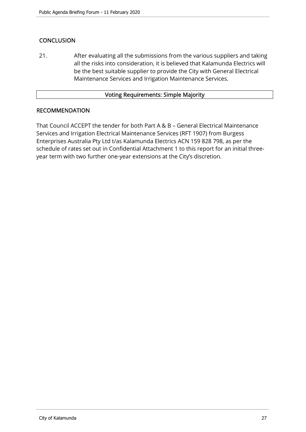# **CONCLUSION**

21. After evaluating all the submissions from the various suppliers and taking all the risks into consideration, it is believed that Kalamunda Electrics will be the best suitable supplier to provide the City with General Electrical Maintenance Services and Irrigation Maintenance Services.

## Voting Requirements: Simple Majority

# RECOMMENDATION

That Council ACCEPT the tender for both Part A & B – General Electrical Maintenance Services and Irrigation Electrical Maintenance Services (RFT 1907) from Burgess Enterprises Australia Pty Ltd t/as Kalamunda Electrics ACN 159 828 798, as per the schedule of rates set out in Confidential Attachment 1 to this report for an initial threeyear term with two further one-year extensions at the City's discretion.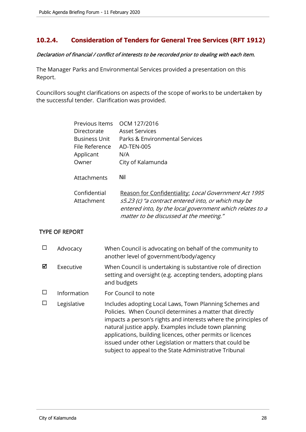# **10.2.4. Consideration of Tenders for General Tree Services (RFT 1912)**

# Declaration of financial / conflict of interests to be recorded prior to dealing with each item.

The Manager Parks and Environmental Services provided a presentation on this Report.

Councillors sought clarifications on aspects of the scope of works to be undertaken by the successful tender. Clarification was provided.

| Previous Items       | OCM 127/2016                                             |
|----------------------|----------------------------------------------------------|
| Directorate          | <b>Asset Services</b>                                    |
| <b>Business Unit</b> | Parks & Environmental Services                           |
| File Reference       | AD-TEN-005                                               |
| Applicant            | N/A                                                      |
| Owner                | City of Kalamunda                                        |
|                      |                                                          |
| Attachments          | Nil                                                      |
|                      |                                                          |
| Confidential         | Reason for Confidentiality: Local Government Act 1995    |
| Attachment           | s5.23 (c) "a contract entered into, or which may be      |
|                      | entered into, by the local government which relates to a |
|                      | matter to be discussed at the meeting."                  |

# TYPE OF REPORT

|   | Advocacy    | When Council is advocating on behalf of the community to<br>another level of government/body/agency                                                                                                                                                                                                                                                                                                                                |
|---|-------------|------------------------------------------------------------------------------------------------------------------------------------------------------------------------------------------------------------------------------------------------------------------------------------------------------------------------------------------------------------------------------------------------------------------------------------|
| ⊠ | Executive   | When Council is undertaking is substantive role of direction<br>setting and oversight (e.g. accepting tenders, adopting plans<br>and budgets                                                                                                                                                                                                                                                                                       |
|   | Information | For Council to note                                                                                                                                                                                                                                                                                                                                                                                                                |
|   | Legislative | Includes adopting Local Laws, Town Planning Schemes and<br>Policies. When Council determines a matter that directly<br>impacts a person's rights and interests where the principles of<br>natural justice apply. Examples include town planning<br>applications, building licences, other permits or licences<br>issued under other Legislation or matters that could be<br>subject to appeal to the State Administrative Tribunal |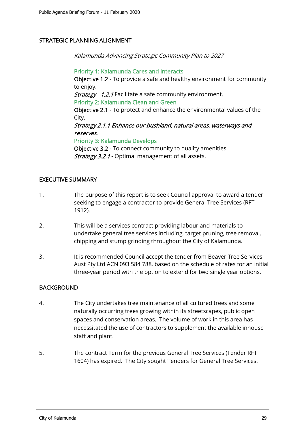# STRATEGIC PLANNING ALIGNMENT

Kalamunda Advancing Strategic Community Plan to 2027

Priority 1: Kalamunda Cares and Interacts Objective 1.2 - To provide a safe and healthy environment for community to enjoy. Strategy - 1.2.1 Facilitate a safe community environment. Priority 2: Kalamunda Clean and Green Objective 2.1 - To protect and enhance the environmental values of the City. Strategy 2.1.1 Enhance our bushland, natural areas, waterways and reserves. Priority 3: Kalamunda Develops Objective 3.2 - To connect community to quality amenities. Strategy 3.2.1 - Optimal management of all assets.

# EXECUTIVE SUMMARY

- 1. The purpose of this report is to seek Council approval to award a tender seeking to engage a contractor to provide General Tree Services (RFT 1912).
- 2. This will be a services contract providing labour and materials to undertake general tree services including, target pruning, tree removal, chipping and stump grinding throughout the City of Kalamunda.
- 3. It is recommended Council accept the tender from Beaver Tree Services Aust Pty Ltd ACN 093 584 788, based on the schedule of rates for an initial three-year period with the option to extend for two single year options.

# BACKGROUND

- 4. The City undertakes tree maintenance of all cultured trees and some naturally occurring trees growing within its streetscapes, public open spaces and conservation areas. The volume of work in this area has necessitated the use of contractors to supplement the available inhouse staff and plant.
- 5. The contract Term for the previous General Tree Services (Tender RFT 1604) has expired. The City sought Tenders for General Tree Services.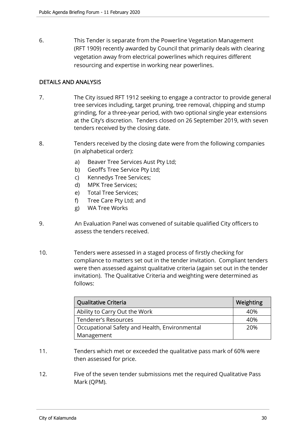6. This Tender is separate from the Powerline Vegetation Management (RFT 1909) recently awarded by Council that primarily deals with clearing vegetation away from electrical powerlines which requires different resourcing and expertise in working near powerlines.

# DETAILS AND ANALYSIS

- 7. The City issued RFT 1912 seeking to engage a contractor to provide general tree services including, target pruning, tree removal, chipping and stump grinding, for a three-year period, with two optional single year extensions at the City's discretion. Tenders closed on 26 September 2019, with seven tenders received by the closing date.
- 8. Tenders received by the closing date were from the following companies (in alphabetical order):
	- a) Beaver Tree Services Aust Pty Ltd;
	- b) Geoff's Tree Service Pty Ltd;
	- c) Kennedys Tree Services;
	- d) MPK Tree Services;
	- e) Total Tree Services;
	- f) Tree Care Pty Ltd; and
	- g) WA Tree Works
- 9. An Evaluation Panel was convened of suitable qualified City officers to assess the tenders received.
- 10. Tenders were assessed in a staged process of firstly checking for compliance to matters set out in the tender invitation. Compliant tenders were then assessed against qualitative criteria (again set out in the tender invitation). The Qualitative Criteria and weighting were determined as follows:

| Qualitative Criteria                          | Weighting |
|-----------------------------------------------|-----------|
| Ability to Carry Out the Work                 | 40%       |
| Tenderer's Resources                          | 40%       |
| Occupational Safety and Health, Environmental | 20%       |
| Management                                    |           |

- 11. Tenders which met or exceeded the qualitative pass mark of 60% were then assessed for price.
- 12. Five of the seven tender submissions met the required Qualitative Pass Mark (QPM).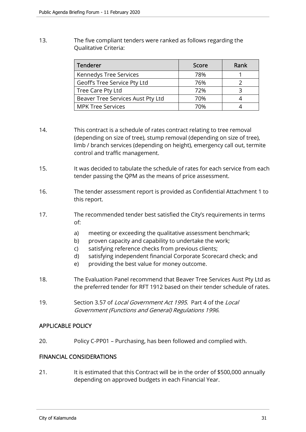13. The five compliant tenders were ranked as follows regarding the Qualitative Criteria:

| <b>Tenderer</b>                   | Score | Rank |
|-----------------------------------|-------|------|
| Kennedys Tree Services            | 78%   |      |
| Geoff's Tree Service Pty Ltd      | 76%   |      |
| Tree Care Pty Ltd                 | 72%   |      |
| Beaver Tree Services Aust Pty Ltd | 70%   |      |
| <b>MPK Tree Services</b>          | 70%   |      |

- 14. This contract is a schedule of rates contract relating to tree removal (depending on size of tree), stump removal (depending on size of tree), limb / branch services (depending on height), emergency call out, termite control and traffic management.
- 15. It was decided to tabulate the schedule of rates for each service from each tender passing the QPM as the means of price assessment.
- 16. The tender assessment report is provided as Confidential Attachment 1 to this report.
- 17. The recommended tender best satisfied the City's requirements in terms of:
	- a) meeting or exceeding the qualitative assessment benchmark;
	- b) proven capacity and capability to undertake the work;
	- c) satisfying reference checks from previous clients;
	- d) satisfying independent financial Corporate Scorecard check; and
	- e) providing the best value for money outcome.
- 18. The Evaluation Panel recommend that Beaver Tree Services Aust Pty Ltd as the preferred tender for RFT 1912 based on their tender schedule of rates.
- 19. Section 3.57 of *Local Government Act 1995*. Part 4 of the *Local* Government (Functions and General) Regulations 1996.

# APPLICABLE POLICY

20. Policy C-PP01 – Purchasing, has been followed and complied with.

# FINANCIAL CONSIDERATIONS

21. It is estimated that this Contract will be in the order of \$500,000 annually depending on approved budgets in each Financial Year.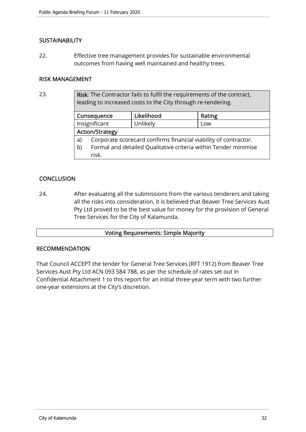# **SUSTAINABILITY**

22. Effective tree management provides for sustainable environmental outcomes from having well maintained and healthy trees.

## RISK MANAGEMENT

23. Risk: The Contractor fails to fulfil the requirements of the contract, leading to increased costs to the City through re-tendering.

|    | Consequence                                                     | Likelihood | Rating |  |
|----|-----------------------------------------------------------------|------------|--------|--|
|    | Insignificant                                                   | Unlikely   | Low    |  |
|    | <b>Action/Strategy</b>                                          |            |        |  |
| a) | Corporate scorecard confirms financial viability of contractor. |            |        |  |
| b) | Formal and detailed Qualitative criteria within Tender minimise |            |        |  |
|    | risk.                                                           |            |        |  |

# **CONCLUSION**

24. After evaluating all the submissions from the various tenderers and taking all the risks into consideration, it is believed that Beaver Tree Services Aust Pty Ltd proved to be the best value for money for the provision of General Tree Services for the City of Kalamunda.

# Voting Requirements: Simple Majority

## RECOMMENDATION

That Council ACCEPT the tender for General Tree Services (RFT 1912) from Beaver Tree Services Aust Pty Ltd ACN 093 584 788, as per the schedule of rates set out in Confidential Attachment 1 to this report for an initial three-year term with two further one-year extensions at the City's discretion.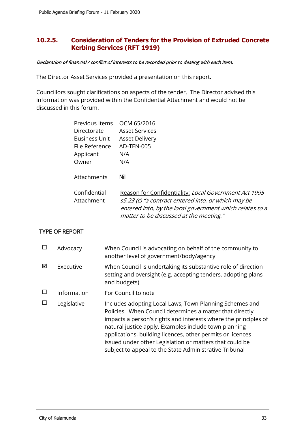# **10.2.5. Consideration of Tenders for the Provision of Extruded Concrete Kerbing Services (RFT 1919)**

#### Declaration of financial / conflict of interests to be recorded prior to dealing with each item.

The Director Asset Services provided a presentation on this report.

Councillors sought clarifications on aspects of the tender. The Director advised this information was provided within the Confidential Attachment and would not be discussed in this forum.

| Previous Items OCM 65/2016 |                                                                                                                                                                                                                     |
|----------------------------|---------------------------------------------------------------------------------------------------------------------------------------------------------------------------------------------------------------------|
| Directorate                | <b>Asset Services</b>                                                                                                                                                                                               |
| <b>Business Unit</b>       | <b>Asset Delivery</b>                                                                                                                                                                                               |
| File Reference             | AD-TEN-005                                                                                                                                                                                                          |
| Applicant                  | N/A                                                                                                                                                                                                                 |
| Owner                      | N/A                                                                                                                                                                                                                 |
| Attachments                | Nil                                                                                                                                                                                                                 |
| Confidential<br>Attachment | Reason for Confidentiality: Local Government Act 1995<br>s5.23 (c) "a contract entered into, or which may be<br>entered into, by the local government which relates to a<br>matter to be discussed at the meeting." |

# TYPE OF REPORT

|   | Advocacy    | When Council is advocating on behalf of the community to<br>another level of government/body/agency                                                                                                                                                                                                                                                                                                                                |
|---|-------------|------------------------------------------------------------------------------------------------------------------------------------------------------------------------------------------------------------------------------------------------------------------------------------------------------------------------------------------------------------------------------------------------------------------------------------|
| ☑ | Executive   | When Council is undertaking its substantive role of direction<br>setting and oversight (e.g. accepting tenders, adopting plans<br>and budgets)                                                                                                                                                                                                                                                                                     |
|   | Information | For Council to note                                                                                                                                                                                                                                                                                                                                                                                                                |
|   | Legislative | Includes adopting Local Laws, Town Planning Schemes and<br>Policies. When Council determines a matter that directly<br>impacts a person's rights and interests where the principles of<br>natural justice apply. Examples include town planning<br>applications, building licences, other permits or licences<br>issued under other Legislation or matters that could be<br>subject to appeal to the State Administrative Tribunal |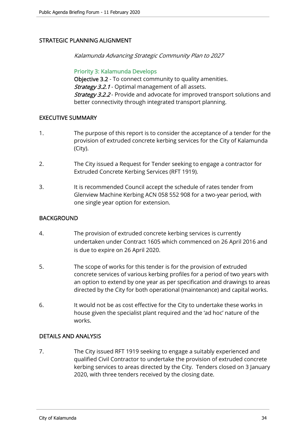# STRATEGIC PLANNING ALIGNMENT

Kalamunda Advancing Strategic Community Plan to 2027

Priority 3: Kalamunda Develops Objective 3.2 - To connect community to quality amenities. Strategy 3.2.1 - Optimal management of all assets. **Strategy 3.2.2** - Provide and advocate for improved transport solutions and better connectivity through integrated transport planning.

# EXECUTIVE SUMMARY

- 1. The purpose of this report is to consider the acceptance of a tender for the provision of extruded concrete kerbing services for the City of Kalamunda (City).
- 2. The City issued a Request for Tender seeking to engage a contractor for Extruded Concrete Kerbing Services (RFT 1919).
- 3. It is recommended Council accept the schedule of rates tender from Glenview Machine Kerbing ACN 058 552 908 for a two-year period, with one single year option for extension.

# **BACKGROUND**

- 4. The provision of extruded concrete kerbing services is currently undertaken under Contract 1605 which commenced on 26 April 2016 and is due to expire on 26 April 2020.
- 5. The scope of works for this tender is for the provision of extruded concrete services of various kerbing profiles for a period of two years with an option to extend by one year as per specification and drawings to areas directed by the City for both operational (maintenance) and capital works.
- 6. It would not be as cost effective for the City to undertake these works in house given the specialist plant required and the 'ad hoc' nature of the works.

# DETAILS AND ANALYSIS

7. The City issued RFT 1919 seeking to engage a suitably experienced and qualified Civil Contractor to undertake the provision of extruded concrete kerbing services to areas directed by the City. Tenders closed on 3 January 2020, with three tenders received by the closing date.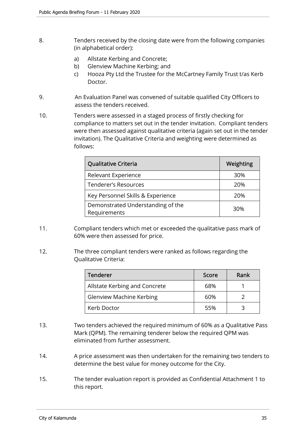- 8. Tenders received by the closing date were from the following companies (in alphabetical order):
	- a) Allstate Kerbing and Concrete;
	- b) Glenview Machine Kerbing; and
	- c) Hooza Pty Ltd the Trustee for the McCartney Family Trust t/as Kerb Doctor.
- 9. An Evaluation Panel was convened of suitable qualified City Officers to assess the tenders received.
- 10. Tenders were assessed in a staged process of firstly checking for compliance to matters set out in the tender invitation. Compliant tenders were then assessed against qualitative criteria (again set out in the tender invitation). The Qualitative Criteria and weighting were determined as follows:

| Qualitative Criteria                              | Weighting |
|---------------------------------------------------|-----------|
| Relevant Experience                               | 30%       |
| <b>Tenderer's Resources</b>                       | 20%       |
| Key Personnel Skills & Experience                 | 20%       |
| Demonstrated Understanding of the<br>Requirements | 30%       |

- 11. Compliant tenders which met or exceeded the qualitative pass mark of 60% were then assessed for price.
- 12. The three compliant tenders were ranked as follows regarding the Qualitative Criteria:

| Tenderer                        | Score | Rank |
|---------------------------------|-------|------|
| Allstate Kerbing and Concrete   | 68%   |      |
| <b>Glenview Machine Kerbing</b> | 60%   |      |
| Kerb Doctor                     | 55%   |      |

- 13. Two tenders achieved the required minimum of 60% as a Qualitative Pass Mark (QPM). The remaining tenderer below the required QPM was eliminated from further assessment.
- 14. A price assessment was then undertaken for the remaining two tenders to determine the best value for money outcome for the City.
- 15. The tender evaluation report is provided as Confidential Attachment 1 to this report.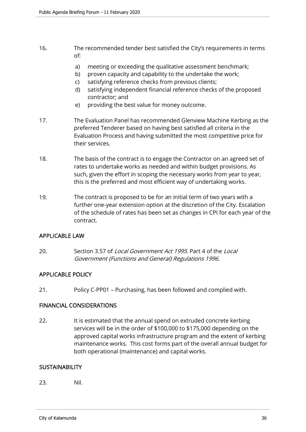- 16. The recommended tender best satisfied the City's requirements in terms of:
	- a) meeting or exceeding the qualitative assessment benchmark;
	- b) proven capacity and capability to the undertake the work;
	- c) satisfying reference checks from previous clients;
	- d) satisfying independent financial reference checks of the proposed contractor; and
	- e) providing the best value for money outcome.
- 17. The Evaluation Panel has recommended Glenview Machine Kerbing as the preferred Tenderer based on having best satisfied all criteria in the Evaluation Process and having submitted the most competitive price for their services.
- 18. The basis of the contract is to engage the Contractor on an agreed set of rates to undertake works as needed and within budget provisions. As such, given the effort in scoping the necessary works from year to year, this is the preferred and most efficient way of undertaking works.
- 19. The contract is proposed to be for an initial term of two years with a further one-year extension option at the discretion of the City. Escalation of the schedule of rates has been set as changes in CPI for each year of the contract.

# APPLICABLE LAW

20. Section 3.57 of *Local Government Act 1995*. Part 4 of the *Local* Government (Functions and General) Regulations 1996.

# APPLICABLE POLICY

21. Policy C-PP01 – Purchasing, has been followed and complied with.

# FINANCIAL CONSIDERATIONS

22. It is estimated that the annual spend on extruded concrete kerbing services will be in the order of \$100,000 to \$175,000 depending on the approved capital works infrastructure program and the extent of kerbing maintenance works. This cost forms part of the overall annual budget for both operational (maintenance) and capital works.

# **SUSTAINABILITY**

23. Nil.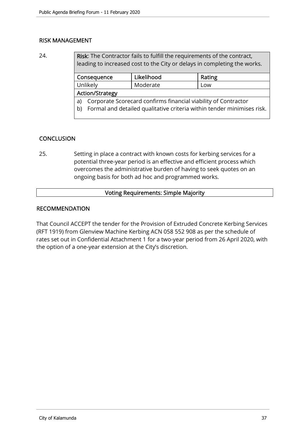# RISK MANAGEMENT

24. Risk: The Contractor fails to fulfill the requirements of the contract, leading to increased cost to the City or delays in completing the works.

|                                                                              | Consequence | Likelihood | Rating |
|------------------------------------------------------------------------------|-------------|------------|--------|
| Unlikely                                                                     |             | Moderate   | LOW    |
| <b>Action/Strategy</b>                                                       |             |            |        |
| Corporate Scorecard confirms financial viability of Contractor<br>a)         |             |            |        |
| Formal and detailed qualitative criteria within tender minimises risk.<br>b) |             |            |        |
|                                                                              |             |            |        |

# **CONCLUSION**

25. Setting in place a contract with known costs for kerbing services for a potential three-year period is an effective and efficient process which overcomes the administrative burden of having to seek quotes on an ongoing basis for both ad hoc and programmed works.

# Voting Requirements: Simple Majority

# RECOMMENDATION

That Council ACCEPT the tender for the Provision of Extruded Concrete Kerbing Services (RFT 1919) from Glenview Machine Kerbing ACN 058 552 908 as per the schedule of rates set out in Confidential Attachment 1 for a two-year period from 26 April 2020, with the option of a one-year extension at the City's discretion.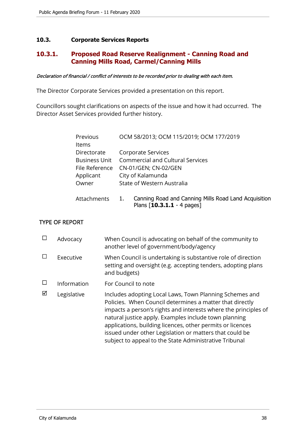# **10.3. Corporate Services Reports**

# **10.3.1. Proposed Road Reserve Realignment - Canning Road and Canning Mills Road, Carmel/Canning Mills**

#### Declaration of financial / conflict of interests to be recorded prior to dealing with each item.

The Director Corporate Services provided a presentation on this report.

Councillors sought clarifications on aspects of the issue and how it had occurred. The Director Asset Services provided further history.

| Previous             | OCM 58/2013; OCM 115/2019; OCM 177/2019                                                    |
|----------------------|--------------------------------------------------------------------------------------------|
| ltems                |                                                                                            |
| Directorate          | Corporate Services                                                                         |
| <b>Business Unit</b> | <b>Commercial and Cultural Services</b>                                                    |
| File Reference       | CN-01/GEN; CN-02/GEN                                                                       |
| Applicant            | City of Kalamunda                                                                          |
| Owner                | State of Western Australia                                                                 |
| Attachments          | Canning Road and Canning Mills Road Land Acquisition<br>1.<br>Plans $[10.3.1.1 - 4$ pages] |

# TYPE OF REPORT

|   | Advocacy    | When Council is advocating on behalf of the community to<br>another level of government/body/agency                                                                                                                                                                                                                                                                                                                                |
|---|-------------|------------------------------------------------------------------------------------------------------------------------------------------------------------------------------------------------------------------------------------------------------------------------------------------------------------------------------------------------------------------------------------------------------------------------------------|
|   | Executive   | When Council is undertaking is substantive role of direction<br>setting and oversight (e.g. accepting tenders, adopting plans<br>and budgets)                                                                                                                                                                                                                                                                                      |
|   | Information | For Council to note                                                                                                                                                                                                                                                                                                                                                                                                                |
| ☑ | Legislative | Includes adopting Local Laws, Town Planning Schemes and<br>Policies. When Council determines a matter that directly<br>impacts a person's rights and interests where the principles of<br>natural justice apply. Examples include town planning<br>applications, building licences, other permits or licences<br>issued under other Legislation or matters that could be<br>subject to appeal to the State Administrative Tribunal |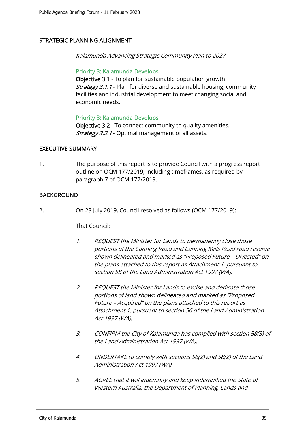# STRATEGIC PLANNING ALIGNMENT

Kalamunda Advancing Strategic Community Plan to 2027

## Priority 3: Kalamunda Develops

Objective 3.1 - To plan for sustainable population growth. **Strategy 3.1.1** - Plan for diverse and sustainable housing, community facilities and industrial development to meet changing social and economic needs.

## Priority 3: Kalamunda Develops

Objective 3.2 - To connect community to quality amenities. **Strategy 3.2.1** - Optimal management of all assets.

## EXECUTIVE SUMMARY

1. The purpose of this report is to provide Council with a progress report outline on OCM 177/2019, including timeframes, as required by paragraph 7 of OCM 177/2019.

# BACKGROUND

2. On 23 July 2019, Council resolved as follows (OCM 177/2019):

#### That Council:

- 1. REQUEST the Minister for Lands to permanently close those portions of the Canning Road and Canning Mills Road road reserve shown delineated and marked as "Proposed Future – Divested" on the plans attached to this report as Attachment 1, pursuant to section 58 of the Land Administration Act 1997 (WA).
- 2. REQUEST the Minister for Lands to excise and dedicate those portions of land shown delineated and marked as "Proposed Future – Acquired" on the plans attached to this report as Attachment 1, pursuant to section 56 of the Land Administration Act 1997 (WA).
- 3. CONFIRM the City of Kalamunda has complied with section 58(3) of the Land Administration Act 1997 (WA).
- 4. UNDERTAKE to comply with sections 56(2) and 58(2) of the Land Administration Act 1997 (WA).
- 5. AGREE that it will indemnify and keep indemnified the State of Western Australia, the Department of Planning, Lands and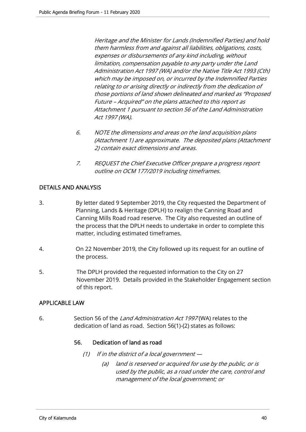Heritage and the Minister for Lands (Indemnified Parties) and hold them harmless from and against all liabilities, obligations, costs, expenses or disbursements of any kind including, without limitation, compensation payable to any party under the Land Administration Act 1997 (WA) and/or the Native Title Act 1993 (Cth) which may be imposed on, or incurred by the Indemnified Parties relating to or arising directly or indirectly from the dedication of those portions of land shown delineated and marked as "Proposed Future – Acquired" on the plans attached to this report as Attachment 1 pursuant to section 56 of the Land Administration Act 1997 (WA).

- 6. NOTE the dimensions and areas on the land acquisition plans (Attachment 1) are approximate. The deposited plans (Attachment 2) contain exact dimensions and areas.
- 7. REQUEST the Chief Executive Officer prepare a progress report outline on OCM 177/2019 including timeframes.

# DETAILS AND ANALYSIS

- 3. By letter dated 9 September 2019, the City requested the Department of Planning, Lands & Heritage (DPLH) to realign the Canning Road and Canning Mills Road road reserve. The City also requested an outline of the process that the DPLH needs to undertake in order to complete this matter, including estimated timeframes.
- 4. On 22 November 2019, the City followed up its request for an outline of the process.
- 5. The DPLH provided the requested information to the City on 27 November 2019. Details provided in the Stakeholder Engagement section of this report.

# APPLICABLE LAW

6. Section 56 of the Land Administration Act 1997 (WA) relates to the dedication of land as road. Section 56(1)-(2) states as follows:

# 56. Dedication of land as road

- (1) If in the district of a local government  $-$ 
	- (a) land is reserved or acquired for use by the public, or is used by the public, as a road under the care, control and management of the local government; or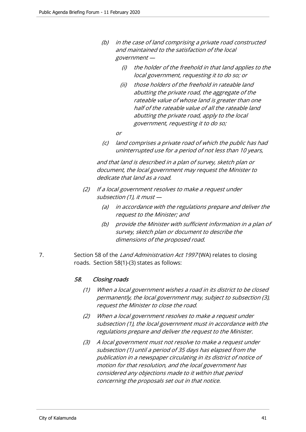- (b) in the case of land comprising a private road constructed and maintained to the satisfaction of the local government —
	- (i) the holder of the freehold in that land applies to the local government, requesting it to do so; or
	- (ii) those holders of the freehold in rateable land abutting the private road, the aggregate of the rateable value of whose land is greater than one half of the rateable value of all the rateable land abutting the private road, apply to the local government, requesting it to do so;
	- or
- (c) land comprises a private road of which the public has had uninterrupted use for a period of not less than 10 years,

 and that land is described in a plan of survey, sketch plan or document, the local government may request the Minister to dedicate that land as a road.

- (2) If a local government resolves to make a request under subsection (1), it must —
	- (a) in accordance with the regulations prepare and deliver the request to the Minister; and
	- (b) provide the Minister with sufficient information in a plan of survey, sketch plan or document to describe the dimensions of the proposed road.
- 7. Section 58 of the Land Administration Act 1997 (WA) relates to closing roads. Section 58(1)-(3) states as follows:

# 58. Closing roads

- (1) When a local government wishes a road in its district to be closed permanently, the local government may, subject to subsection (3), request the Minister to close the road.
- (2) When a local government resolves to make a request under subsection (1), the local government must in accordance with the regulations prepare and deliver the request to the Minister.
- (3) A local government must not resolve to make a request under subsection (1) until a period of 35 days has elapsed from the publication in a newspaper circulating in its district of notice of motion for that resolution, and the local government has considered any objections made to it within that period concerning the proposals set out in that notice.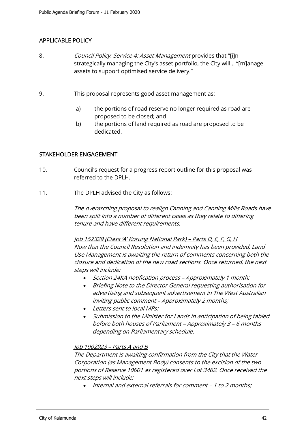# APPLICABLE POLICY

- 8. *Council Policy: Service 4: Asset Management* provides that "[i]n strategically managing the City's asset portfolio, the City will… "[m]anage assets to support optimised service delivery."
- 9. This proposal represents good asset management as:
	- a) the portions of road reserve no longer required as road are proposed to be closed; and
	- b) the portions of land required as road are proposed to be dedicated.

## STAKEHOLDER ENGAGEMENT

- 10. Council's request for a progress report outline for this proposal was referred to the DPLH.
- 11. The DPLH advised the City as follows:

The overarching proposal to realign Canning and Canning Mills Roads have been split into a number of different cases as they relate to differing tenure and have different requirements.

Job 152329 (Class 'A' Korung National Park) – Parts D, E, F, G, H Now that the Council Resolution and indemnity has been provided, Land Use Management is awaiting the return of comments concerning both the closure and dedication of the new road sections. Once returned, the next steps will include:

- Section 24KA notification process Approximately 1 month;
- Briefing Note to the Director General requesting authorisation for advertising and subsequent advertisement in The West Australian inviting public comment – Approximately 2 months;
- Letters sent to local MPs:
- Submission to the Minister for Lands in anticipation of being tabled before both houses of Parliament – Approximately 3 – 6 months depending on Parliamentary schedule.

#### Job 1902923 – Parts A and B

The Department is awaiting confirmation from the City that the Water Corporation (as Management Body) consents to the excision of the two portions of Reserve 10601 as registered over Lot 3462. Once received the next steps will include:

• Internal and external referrals for comment – 1 to 2 months: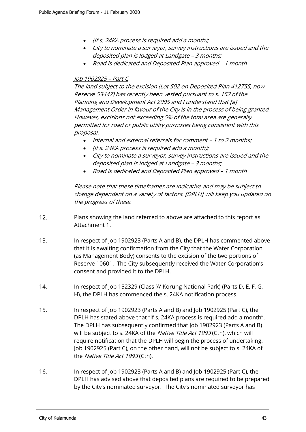- (If s. 24KA process is required add a month);
- City to nominate a surveyor, survey instructions are issued and the deposited plan is lodged at Landgate – 3 months;
- Road is dedicated and Deposited Plan approved 1 month

# Job 1902925 – Part C

The land subject to the excision (Lot 502 on Deposited Plan 412755, now Reserve 53447) has recently been vested pursuant to s. 152 of the Planning and Development Act 2005 and I understand that [a] Management Order in favour of the City is in the process of being granted. However, excisions not exceeding 5% of the total area are generally permitted for road or public utility purposes being consistent with this proposal.

- Internal and external referrals for comment 1 to 2 months;
- (If s. 24KA process is required add a month);
- City to nominate a surveyor, survey instructions are issued and the deposited plan is lodged at Landgate – 3 months;
- Road is dedicated and Deposited Plan approved 1 month

Please note that these timeframes are indicative and may be subject to change dependent on a variety of factors. [DPLH] will keep you updated on the progress of these.

- 12. Plans showing the land referred to above are attached to this report as Attachment 1.
- 13. In respect of Job 1902923 (Parts A and B), the DPLH has commented above that it is awaiting confirmation from the City that the Water Corporation (as Management Body) consents to the excision of the two portions of Reserve 10601. The City subsequently received the Water Corporation's consent and provided it to the DPLH.
- 14. In respect of Job 152329 (Class 'A' Korung National Park) (Parts D, E, F, G, H), the DPLH has commenced the s. 24KA notification process.
- 15. In respect of Job 1902923 (Parts A and B) and Job 1902925 (Part C), the DPLH has stated above that "If s. 24KA process is required add a month". The DPLH has subsequently confirmed that Job 1902923 (Parts A and B) will be subject to s. 24KA of the Native Title Act 1993 (Cth), which will require notification that the DPLH will begin the process of undertaking. Job 1902925 (Part C), on the other hand, will not be subject to s. 24KA of the Native Title Act 1993 (Cth).
- 16. In respect of Job 1902923 (Parts A and B) and Job 1902925 (Part C), the DPLH has advised above that deposited plans are required to be prepared by the City's nominated surveyor. The City's nominated surveyor has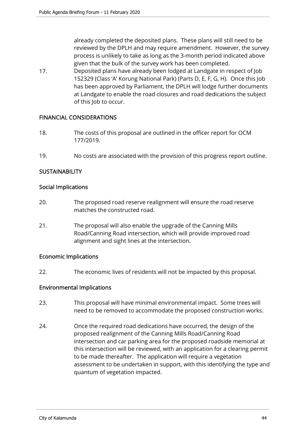already completed the deposited plans. These plans will still need to be reviewed by the DPLH and may require amendment. However, the survey process is unlikely to take as long as the 3-month period indicated above given that the bulk of the survey work has been completed.

17. Deposited plans have already been lodged at Landgate in respect of Job 152329 (Class 'A' Korung National Park) (Parts D, E, F, G, H). Once this Job has been approved by Parliament, the DPLH will lodge further documents at Landgate to enable the road closures and road dedications the subject of this Job to occur.

# FINANCIAL CONSIDERATIONS

- 18. The costs of this proposal are outlined in the officer report for OCM 177/2019.
- 19. No costs are associated with the provision of this progress report outline.

# **SUSTAINABILITY**

## Social Implications

- 20. The proposed road reserve realignment will ensure the road reserve matches the constructed road.
- 21. The proposal will also enable the upgrade of the Canning Mills Road/Canning Road intersection, which will provide improved road alignment and sight lines at the intersection.

#### Economic Implications

22. The economic lives of residents will not be impacted by this proposal.

# Environmental Implications

- 23. This proposal will have minimal environmental impact. Some trees will need to be removed to accommodate the proposed construction works.
- 24. Once the required road dedications have occurred, the design of the proposed realignment of the Canning Mills Road/Canning Road intersection and car parking area for the proposed roadside memorial at this intersection will be reviewed, with an application for a clearing permit to be made thereafter. The application will require a vegetation assessment to be undertaken in support, with this identifying the type and quantum of vegetation impacted.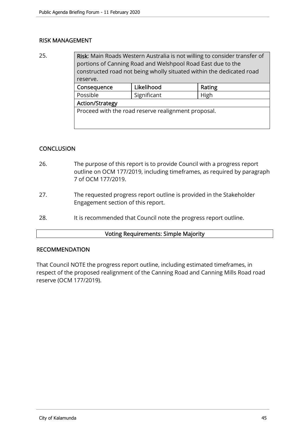# RISK MANAGEMENT

25. **Risk:** Main Roads Western Australia is not willing to consider transfer of portions of Canning Road and Welshpool Road East due to the constructed road not being wholly situated within the dedicated road reserve. Consequence Likelihood Rating

| <b>CONSCRUCITLE</b>                                 | LINJIIIVVU | 114115 |  |  |
|-----------------------------------------------------|------------|--------|--|--|
| Significant<br>Possible                             |            | High   |  |  |
| Action/Strategy                                     |            |        |  |  |
| Proceed with the road reserve realignment proposal. |            |        |  |  |

# **CONCLUSION**

- 26. The purpose of this report is to provide Council with a progress report outline on OCM 177/2019, including timeframes, as required by paragraph 7 of OCM 177/2019.
- 27. The requested progress report outline is provided in the Stakeholder Engagement section of this report.
- 28. It is recommended that Council note the progress report outline.

#### Voting Requirements: Simple Majority

#### RECOMMENDATION

That Council NOTE the progress report outline, including estimated timeframes, in respect of the proposed realignment of the Canning Road and Canning Mills Road road reserve (OCM 177/2019).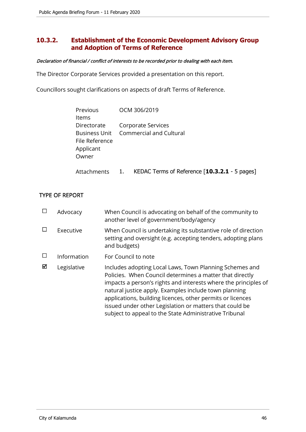# **10.3.2. Establishment of the Economic Development Advisory Group and Adoption of Terms of Reference**

#### Declaration of financial / conflict of interests to be recorded prior to dealing with each item.

The Director Corporate Services provided a presentation on this report.

Councillors sought clarifications on aspects of draft Terms of Reference.

| Previous<br>Items                                   | OCM 306/2019                                                       |
|-----------------------------------------------------|--------------------------------------------------------------------|
| Directorate<br>File Reference<br>Applicant<br>Owner | Corporate Services<br><b>Business Unit</b> Commercial and Cultural |
| Attachments                                         | KEDAC Terms of Reference [10.3.2.1 - 5 pages]                      |

# TYPE OF REPORT

|   | Advocacy    | When Council is advocating on behalf of the community to<br>another level of government/body/agency                                                                                                                                                                                                                                                                                                                                |
|---|-------------|------------------------------------------------------------------------------------------------------------------------------------------------------------------------------------------------------------------------------------------------------------------------------------------------------------------------------------------------------------------------------------------------------------------------------------|
|   | Executive   | When Council is undertaking its substantive role of direction<br>setting and oversight (e.g. accepting tenders, adopting plans<br>and budgets)                                                                                                                                                                                                                                                                                     |
|   | Information | For Council to note                                                                                                                                                                                                                                                                                                                                                                                                                |
| ☑ | Legislative | Includes adopting Local Laws, Town Planning Schemes and<br>Policies. When Council determines a matter that directly<br>impacts a person's rights and interests where the principles of<br>natural justice apply. Examples include town planning<br>applications, building licences, other permits or licences<br>issued under other Legislation or matters that could be<br>subject to appeal to the State Administrative Tribunal |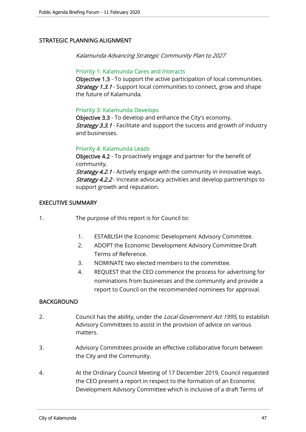# STRATEGIC PLANNING ALIGNMENT

Kalamunda Advancing Strategic Community Plan to 2027

## Priority 1: Kalamunda Cares and Interacts

Objective 1.3 - To support the active participation of local communities. **Strategy 1.3.1** - Support local communities to connect, grow and shape the future of Kalamunda.

# Priority 3: Kalamunda Develops

Objective 3.3 - To develop and enhance the City's economy. **Strategy 3.3.1** - Facilitate and support the success and growth of industry and businesses.

## Priority 4: Kalamunda Leads

Objective 4.2 - To proactively engage and partner for the benefit of community. **Strategy 4.2.1** - Actively engage with the community in innovative ways. **Strategy 4.2.2** - Increase advocacy activities and develop partnerships to support growth and reputation.

## EXECUTIVE SUMMARY

- 1. The purpose of this report is for Council to:
	- 1. ESTABLISH the Economic Development Advisory Committee.
	- 2. ADOPT the Economic Development Advisory Committee Draft Terms of Reference.
	- 3. NOMINATE two elected members to the committee.
	- 4. REQUEST that the CEO commence the process for advertising for nominations from businesses and the community and provide a report to Council on the recommended nominees for approval.

## **BACKGROUND**

- 2. Council has the ability, under the Local Government Act 1995, to establish Advisory Committees to assist in the provision of advice on various matters.
- 3. Advisory Committees provide an effective collaborative forum between the City and the Community.
- 4. At the Ordinary Council Meeting of 17 December 2019, Council requested the CEO present a report in respect to the formation of an Economic Development Advisory Committee which is inclusive of a draft Terms of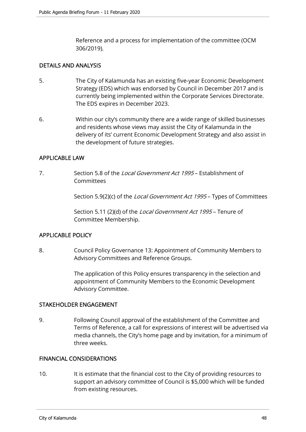Reference and a process for implementation of the committee (OCM 306/2019).

# DETAILS AND ANALYSIS

- 5. The City of Kalamunda has an existing five-year Economic Development Strategy (EDS) which was endorsed by Council in December 2017 and is currently being implemented within the Corporate Services Directorate. The EDS expires in December 2023.
- 6. Within our city's community there are a wide range of skilled businesses and residents whose views may assist the City of Kalamunda in the delivery of its' current Economic Development Strategy and also assist in the development of future strategies.

# APPLICABLE LAW

7. Section 5.8 of the *Local Government Act 1995* – Establishment of Committees

Section 5.9(2)(c) of the *Local Government Act 1995* – Types of Committees

Section 5.11 (2)(d) of the *Local Government Act 1995* – Tenure of Committee Membership.

# APPLICABLE POLICY

8. Council Policy Governance 13: Appointment of Community Members to Advisory Committees and Reference Groups.

> The application of this Policy ensures transparency in the selection and appointment of Community Members to the Economic Development Advisory Committee.

# STAKEHOLDER ENGAGEMENT

9. Following Council approval of the establishment of the Committee and Terms of Reference, a call for expressions of interest will be advertised via media channels, the City's home page and by invitation, for a minimum of three weeks.

# FINANCIAL CONSIDERATIONS

10. It is estimate that the financial cost to the City of providing resources to support an advisory committee of Council is \$5,000 which will be funded from existing resources.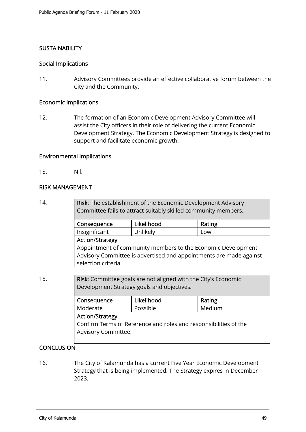# **SUSTAINABILITY**

## Social Implications

11. Advisory Committees provide an effective collaborative forum between the City and the Community.

## Economic Implications

12. The formation of an Economic Development Advisory Committee will assist the City officers in their role of delivering the current Economic Development Strategy. The Economic Development Strategy is designed to support and facilitate economic growth.

## Environmental Implications

13. Nil.

## RISK MANAGEMENT

14. **Risk:** The establishment of the Economic Development Advisory Committee fails to attract suitably skilled community members.

| Likelihood<br>Consequence                                          |          | Rating |  |
|--------------------------------------------------------------------|----------|--------|--|
| Insignificant                                                      | Unlikely | Low    |  |
| <b>Action/Strategy</b>                                             |          |        |  |
| Appointment of community members to the Economic Development       |          |        |  |
| Advisory Committee is advertised and appointments are made against |          |        |  |
| selection criteria                                                 |          |        |  |

15. **Risk:** Committee goals are not aligned with the City's Economic Development Strategy goals and objectives.

| Consequence                                                      | Likelihood | Rating |  |  |
|------------------------------------------------------------------|------------|--------|--|--|
| Moderate                                                         | Possible   | Medium |  |  |
| <b>Action/Strategy</b>                                           |            |        |  |  |
| Confirm Terms of Reference and roles and responsibilities of the |            |        |  |  |
| Advisory Committee.                                              |            |        |  |  |
|                                                                  |            |        |  |  |

# CONCLUSION

16. The City of Kalamunda has a current Five Year Economic Development Strategy that is being implemented. The Strategy expires in December 2023.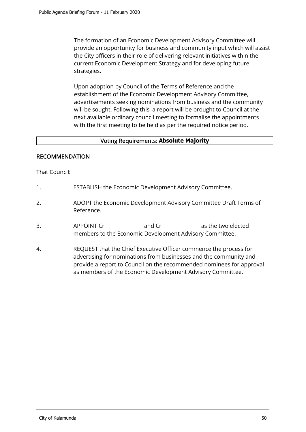The formation of an Economic Development Advisory Committee will provide an opportunity for business and community input which will assist the City officers in their role of delivering relevant initiatives within the current Economic Development Strategy and for developing future strategies.

Upon adoption by Council of the Terms of Reference and the establishment of the Economic Development Advisory Committee, advertisements seeking nominations from business and the community will be sought. Following this, a report will be brought to Council at the next available ordinary council meeting to formalise the appointments with the first meeting to be held as per the required notice period.

# Voting Requirements: **Absolute Majority**

# RECOMMENDATION

That Council:

- 1. ESTABLISH the Economic Development Advisory Committee.
- 2. ADOPT the Economic Development Advisory Committee Draft Terms of Reference.
- 3. APPOINT Cr and Cr as the two elected members to the Economic Development Advisory Committee.
- 4. REQUEST that the Chief Executive Officer commence the process for advertising for nominations from businesses and the community and provide a report to Council on the recommended nominees for approval as members of the Economic Development Advisory Committee.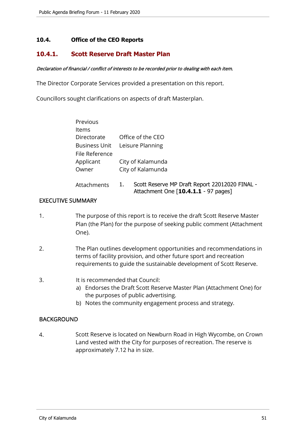# **10.4. Office of the CEO Reports**

# **10.4.1. Scott Reserve Draft Master Plan**

#### Declaration of financial / conflict of interests to be recorded prior to dealing with each item.

The Director Corporate Services provided a presentation on this report.

Councillors sought clarifications on aspects of draft Masterplan.

| Previous             |                                                                                              |
|----------------------|----------------------------------------------------------------------------------------------|
| Items                |                                                                                              |
| Directorate          | Office of the CEO                                                                            |
| <b>Business Unit</b> | Leisure Planning                                                                             |
| File Reference       |                                                                                              |
| Applicant            | City of Kalamunda                                                                            |
| Owner                | City of Kalamunda                                                                            |
| Attachments          | Scott Reserve MP Draft Report 22012020 FINAL -<br>1.<br>Attachment One [10.4.1.1 - 97 pages] |

## EXECUTIVE SUMMARY

- 1. The purpose of this report is to receive the draft Scott Reserve Master Plan (the Plan) for the purpose of seeking public comment (Attachment One).
- 2. The Plan outlines development opportunities and recommendations in terms of facility provision, and other future sport and recreation requirements to guide the sustainable development of Scott Reserve.

#### 3. It is recommended that Council:

- a) Endorses the Draft Scott Reserve Master Plan (Attachment One) for the purposes of public advertising.
- b) Notes the community engagement process and strategy.

# **BACKGROUND**

4. Scott Reserve is located on Newburn Road in High Wycombe, on Crown Land vested with the City for purposes of recreation. The reserve is approximately 7.12 ha in size.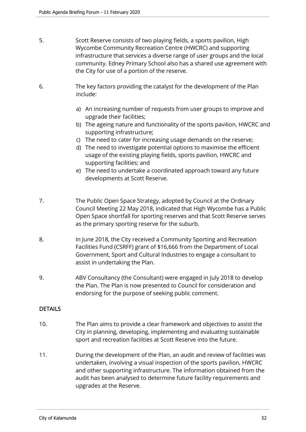- 5. Scott Reserve consists of two playing fields, a sports pavilion, High Wycombe Community Recreation Centre (HWCRC) and supporting infrastructure that services a diverse range of user groups and the local community. Edney Primary School also has a shared use agreement with the City for use of a portion of the reserve.
- 6. The key factors providing the catalyst for the development of the Plan include:
	- a) An increasing number of requests from user groups to improve and upgrade their facilities;
	- b) The ageing nature and functionality of the sports pavilion, HWCRC and supporting infrastructure;
	- c) The need to cater for increasing usage demands on the reserve;
	- d) The need to investigate potential options to maximise the efficient usage of the existing playing fields, sports pavilion, HWCRC and supporting facilities; and
	- e) The need to undertake a coordinated approach toward any future developments at Scott Reserve.
- 7. The Public Open Space Strategy, adopted by Council at the Ordinary Council Meeting 22 May 2018, indicated that High Wycombe has a Public Open Space shortfall for sporting reserves and that Scott Reserve serves as the primary sporting reserve for the suburb.
- 8. In June 2018, the City received a Community Sporting and Recreation Facilities Fund (CSRFF) grant of \$16,666 from the Department of Local Government, Sport and Cultural Industries to engage a consultant to assist in undertaking the Plan.
- 9. ABV Consultancy (the Consultant) were engaged in July 2018 to develop the Plan. The Plan is now presented to Council for consideration and endorsing for the purpose of seeking public comment.

# DETAILS

- 10. The Plan aims to provide a clear framework and objectives to assist the City in planning, developing, implementing and evaluating sustainable sport and recreation facilities at Scott Reserve into the future.
- 11. During the development of the Plan, an audit and review of facilities was undertaken, involving a visual inspection of the sports pavilion, HWCRC and other supporting infrastructure. The information obtained from the audit has been analysed to determine future facility requirements and upgrades at the Reserve.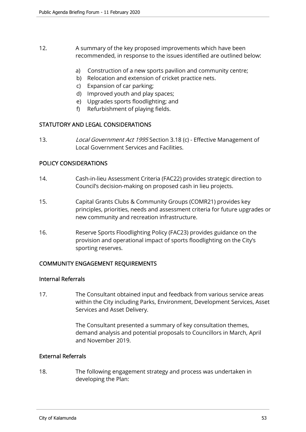- 12. A summary of the key proposed improvements which have been recommended, in response to the issues identified are outlined below:
	- a) Construction of a new sports pavilion and community centre;
	- b) Relocation and extension of cricket practice nets.
	- c) Expansion of car parking;
	- d) Improved youth and play spaces;
	- e) Upgrades sports floodlighting; and
	- f) Refurbishment of playing fields.

# STATUTORY AND LEGAL CONSIDERATIONS

13. Local Government Act 1995 Section 3.18 (c) - Effective Management of Local Government Services and Facilities.

## POLICY CONSIDERATIONS

- 14. Cash-in-lieu Assessment Criteria (FAC22) provides strategic direction to Council's decision-making on proposed cash in lieu projects.
- 15. Capital Grants Clubs & Community Groups (COMR21) provides key principles, priorities, needs and assessment criteria for future upgrades or new community and recreation infrastructure.
- 16. Reserve Sports Floodlighting Policy (FAC23) provides guidance on the provision and operational impact of sports floodlighting on the City's sporting reserves.

# COMMUNITY ENGAGEMENT REQUIREMENTS

## Internal Referrals

17. The Consultant obtained input and feedback from various service areas within the City including Parks, Environment, Development Services, Asset Services and Asset Delivery.

> The Consultant presented a summary of key consultation themes, demand analysis and potential proposals to Councillors in March, April and November 2019.

## External Referrals

18. The following engagement strategy and process was undertaken in developing the Plan: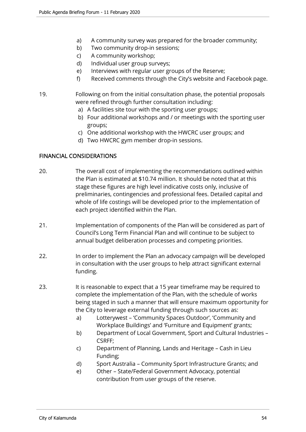- a) A community survey was prepared for the broader community;
- b) Two community drop-in sessions;
- c) A community workshop;
- d) Individual user group surveys;
- e) Interviews with regular user groups of the Reserve;
- f) Received comments through the City's website and Facebook page.
- 19. Following on from the initial consultation phase, the potential proposals were refined through further consultation including:
	- a) A facilities site tour with the sporting user groups;
	- b) Four additional workshops and / or meetings with the sporting user groups;
	- c) One additional workshop with the HWCRC user groups; and
	- d) Two HWCRC gym member drop-in sessions.

# FINANCIAL CONSIDERATIONS

- 20. The overall cost of implementing the recommendations outlined within the Plan is estimated at \$10.74 million. It should be noted that at this stage these figures are high level indicative costs only, inclusive of preliminaries, contingencies and professional fees. Detailed capital and whole of life costings will be developed prior to the implementation of each project identified within the Plan.
- 21. Implementation of components of the Plan will be considered as part of Council's Long Term Financial Plan and will continue to be subject to annual budget deliberation processes and competing priorities.
- 22. In order to implement the Plan an advocacy campaign will be developed in consultation with the user groups to help attract significant external funding.
- 23. It is reasonable to expect that a 15 year timeframe may be required to complete the implementation of the Plan, with the schedule of works being staged in such a manner that will ensure maximum opportunity for the City to leverage external funding through such sources as:
	- a) Lotterywest 'Community Spaces Outdoor', 'Community and Workplace Buildings' and 'Furniture and Equipment' grants;
	- b) Department of Local Government, Sport and Cultural Industries CSRFF;
	- c) Department of Planning, Lands and Heritage Cash in Lieu Funding;
	- d) Sport Australia Community Sport Infrastructure Grants; and
	- e) Other State/Federal Government Advocacy, potential contribution from user groups of the reserve.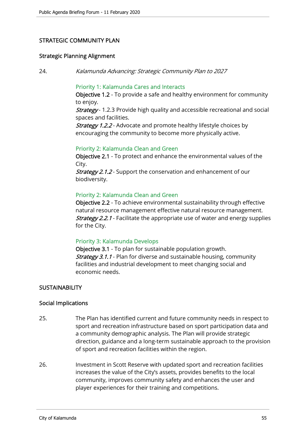# STRATEGIC COMMUNITY PLAN

#### Strategic Planning Alignment

24. Kalamunda Advancing: Strategic Community Plan to 2027

## Priority 1: Kalamunda Cares and Interacts

Objective 1.2 - To provide a safe and healthy environment for community to enjoy.

**Strategy** - 1.2.3 Provide high quality and accessible recreational and social spaces and facilities.

**Strategy 1.2.2** - Advocate and promote healthy lifestyle choices by encouraging the community to become more physically active.

#### Priority 2: Kalamunda Clean and Green

Objective 2.1 - To protect and enhance the environmental values of the City.

Strategy 2.1.2 - Support the conservation and enhancement of our biodiversity.

## Priority 2: Kalamunda Clean and Green

Objective 2.2 - To achieve environmental sustainability through effective natural resource management effective natural resource management. **Strategy 2.2.1** - Facilitate the appropriate use of water and energy supplies for the City.

#### Priority 3: Kalamunda Develops

Objective 3.1 - To plan for sustainable population growth. **Strategy 3.1.1** - Plan for diverse and sustainable housing, community facilities and industrial development to meet changing social and economic needs.

#### **SUSTAINABILITY**

#### Social Implications

- 25. The Plan has identified current and future community needs in respect to sport and recreation infrastructure based on sport participation data and a community demographic analysis. The Plan will provide strategic direction, guidance and a long-term sustainable approach to the provision of sport and recreation facilities within the region.
- 26. Investment in Scott Reserve with updated sport and recreation facilities increases the value of the City's assets, provides benefits to the local community, improves community safety and enhances the user and player experiences for their training and competitions.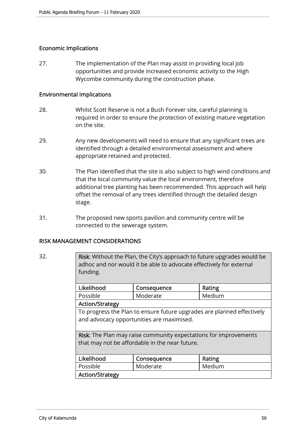# Economic Implications

27. The implementation of the Plan may assist in providing local job opportunities and provide increased economic activity to the High Wycombe community during the construction phase.

## Environmental Implications

- 28. Whilst Scott Reserve is not a Bush Forever site, careful planning is required in order to ensure the protection of existing mature vegetation on the site.
- 29. Any new developments will need to ensure that any significant trees are identified through a detailed environmental assessment and where appropriate retained and protected.
- 30. The Plan identified that the site is also subject to high wind conditions and that the local community value the local environment, therefore additional tree planting has been recommended. This approach will help offset the removal of any trees identified through the detailed design stage.
- 31. The proposed new sports pavilion and community centre will be connected to the sewerage system.

# RISK MANAGEMENT CONSIDERATIONS

| 32. | <b>Risk:</b> Without the Plan, the City's approach to future upgrades would be |
|-----|--------------------------------------------------------------------------------|
|     | adhoc and nor would it be able to advocate effectively for external            |
|     | funding.                                                                       |

| Likelihood           |                                                                          | Consequence | Rating |  |  |
|----------------------|--------------------------------------------------------------------------|-------------|--------|--|--|
| Possible<br>Moderate |                                                                          |             | Medium |  |  |
|                      | <b>Action/Strategy</b>                                                   |             |        |  |  |
|                      | Te museuses the Dian to customs future unsurades and planned offertively |             |        |  |  |

To progress the Plan to ensure future upgrades are planned effectively and advocacy opportunities are maximised.

Risk: The Plan may raise community expectations for improvements that may not be affordable in the near future.

| Likelihood             | Consequence | Rating |
|------------------------|-------------|--------|
| Possible               | Moderate    | Medium |
| <b>Action/Strategy</b> |             |        |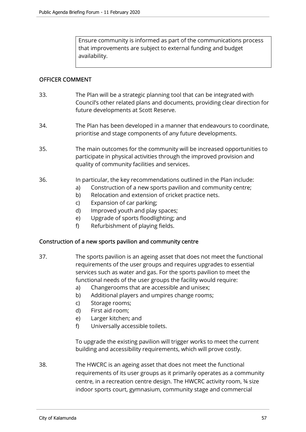Ensure community is informed as part of the communications process that improvements are subject to external funding and budget availability.

## OFFICER COMMENT

- 33. The Plan will be a strategic planning tool that can be integrated with Council's other related plans and documents, providing clear direction for future developments at Scott Reserve.
- 34. The Plan has been developed in a manner that endeavours to coordinate, prioritise and stage components of any future developments.
- 35. The main outcomes for the community will be increased opportunities to participate in physical activities through the improved provision and quality of community facilities and services.
- 36. In particular, the key recommendations outlined in the Plan include:
	- a) Construction of a new sports pavilion and community centre;
	- b) Relocation and extension of cricket practice nets.
	- c) Expansion of car parking;
	- d) Improved youth and play spaces;
	- e) Upgrade of sports floodlighting; and
	- f) Refurbishment of playing fields.

#### Construction of a new sports pavilion and community centre

- 37. The sports pavilion is an ageing asset that does not meet the functional requirements of the user groups and requires upgrades to essential services such as water and gas. For the sports pavilion to meet the functional needs of the user groups the facility would require:
	- a) Changerooms that are accessible and unisex;
	- b) Additional players and umpires change rooms;
	- c) Storage rooms;
	- d) First aid room;
	- e) Larger kitchen; and
	- f) Universally accessible toilets.

To upgrade the existing pavilion will trigger works to meet the current building and accessibility requirements, which will prove costly.

38. The HWCRC is an ageing asset that does not meet the functional requirements of its user groups as it primarily operates as a community centre, in a recreation centre design. The HWCRC activity room, ¾ size indoor sports court, gymnasium, community stage and commercial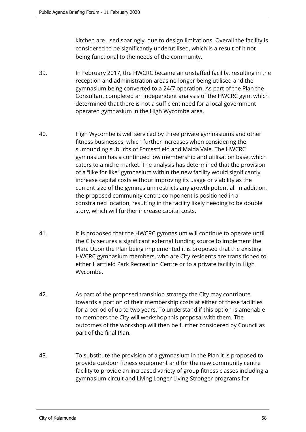kitchen are used sparingly, due to design limitations. Overall the facility is considered to be significantly underutilised, which is a result of it not being functional to the needs of the community.

- 39. In February 2017, the HWCRC became an unstaffed facility, resulting in the reception and administration areas no longer being utilised and the gymnasium being converted to a 24/7 operation. As part of the Plan the Consultant completed an independent analysis of the HWCRC gym, which determined that there is not a sufficient need for a local government operated gymnasium in the High Wycombe area.
- 40. High Wycombe is well serviced by three private gymnasiums and other fitness businesses, which further increases when considering the surrounding suburbs of Forrestfield and Maida Vale. The HWCRC gymnasium has a continued low membership and utilisation base, which caters to a niche market. The analysis has determined that the provision of a "like for like" gymnasium within the new facility would significantly increase capital costs without improving its usage or viability as the current size of the gymnasium restricts any growth potential. In addition, the proposed community centre component is positioned in a constrained location, resulting in the facility likely needing to be double story, which will further increase capital costs.
- 41. It is proposed that the HWCRC gymnasium will continue to operate until the City secures a significant external funding source to implement the Plan. Upon the Plan being implemented it is proposed that the existing HWCRC gymnasium members, who are City residents are transitioned to either Hartfield Park Recreation Centre or to a private facility in High Wycombe.
- 42. As part of the proposed transition strategy the City may contribute towards a portion of their membership costs at either of these facilities for a period of up to two years. To understand if this option is amenable to members the City will workshop this proposal with them. The outcomes of the workshop will then be further considered by Council as part of the final Plan.
- 43. To substitute the provision of a gymnasium in the Plan it is proposed to provide outdoor fitness equipment and for the new community centre facility to provide an increased variety of group fitness classes including a gymnasium circuit and Living Longer Living Stronger programs for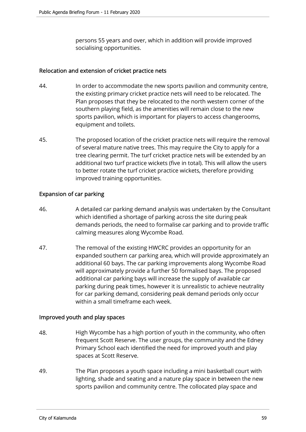persons 55 years and over, which in addition will provide improved socialising opportunities.

# Relocation and extension of cricket practice nets

- 44. In order to accommodate the new sports pavilion and community centre, the existing primary cricket practice nets will need to be relocated. The Plan proposes that they be relocated to the north western corner of the southern playing field, as the amenities will remain close to the new sports pavilion, which is important for players to access changerooms, equipment and toilets.
- 45. The proposed location of the cricket practice nets will require the removal of several mature native trees. This may require the City to apply for a tree clearing permit. The turf cricket practice nets will be extended by an additional two turf practice wickets (five in total). This will allow the users to better rotate the turf cricket practice wickets, therefore providing improved training opportunities.

# Expansion of car parking

- 46. A detailed car parking demand analysis was undertaken by the Consultant which identified a shortage of parking across the site during peak demands periods, the need to formalise car parking and to provide traffic calming measures along Wycombe Road.
- 47. The removal of the existing HWCRC provides an opportunity for an expanded southern car parking area, which will provide approximately an additional 60 bays. The car parking improvements along Wycombe Road will approximately provide a further 50 formalised bays. The proposed additional car parking bays will increase the supply of available car parking during peak times, however it is unrealistic to achieve neutrality for car parking demand, considering peak demand periods only occur within a small timeframe each week.

# Improved youth and play spaces

- 48. High Wycombe has a high portion of youth in the community, who often frequent Scott Reserve. The user groups, the community and the Edney Primary School each identified the need for improved youth and play spaces at Scott Reserve.
- 49. The Plan proposes a youth space including a mini basketball court with lighting, shade and seating and a nature play space in between the new sports pavilion and community centre. The collocated play space and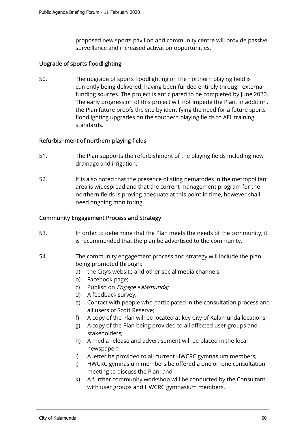proposed new sports pavilion and community centre will provide passive surveillance and increased activation opportunities.

# Upgrade of sports floodlighting

50. The upgrade of sports floodlighting on the northern playing field is currently being delivered, having been funded entirely through external funding sources. The project is anticipated to be completed by June 2020. The early progression of this project will not impede the Plan. In addition, the Plan future proofs the site by identifying the need for a future sports floodlighting upgrades on the southern playing fields to AFL training standards.

# Refurbishment of northern playing fields

- 51. The Plan supports the refurbishment of the playing fields including new drainage and irrigation.
- 52. It is also noted that the presence of sting nematodes in the metropolitan area is widespread and that the current management program for the northern fields is proving adequate at this point in time, however shall need ongoing monitoring.

## Community Engagement Process and Strategy

- 53. In order to determine that the Plan meets the needs of the community, it is recommended that the plan be advertised to the community.
- 54. The community engagement process and strategy will include the plan being promoted through:
	- a) the City's website and other social media channels;
	- b) Facebook page;
	- c) Publish on *Engage Kalamunda;*
	- d) A feedback survey;
	- e) Contact with people who participated in the consultation process and all users of Scott Reserve;
	- f) A copy of the Plan will be located at key City of Kalamunda locations;
	- g) A copy of the Plan being provided to all affected user groups and stakeholders;
	- h) A media release and advertisement will be placed in the local newspaper;
	- i) A letter be provided to all current HWCRC gymnasium members;
	- j) HWCRC gymnasium members be offered a one on one consultation meeting to discuss the Plan; and
	- k) A further community workshop will be conducted by the Consultant with user groups and HWCRC gymnasium members.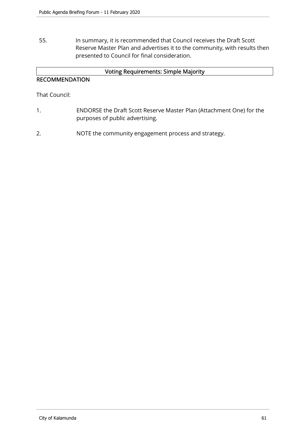55. In summary, it is recommended that Council receives the Draft Scott Reserve Master Plan and advertises it to the community, with results then presented to Council for final consideration.

# Voting Requirements: Simple Majority

# RECOMMENDATION

That Council:

- 1. ENDORSE the Draft Scott Reserve Master Plan (Attachment One) for the purposes of public advertising.
- 2. NOTE the community engagement process and strategy.